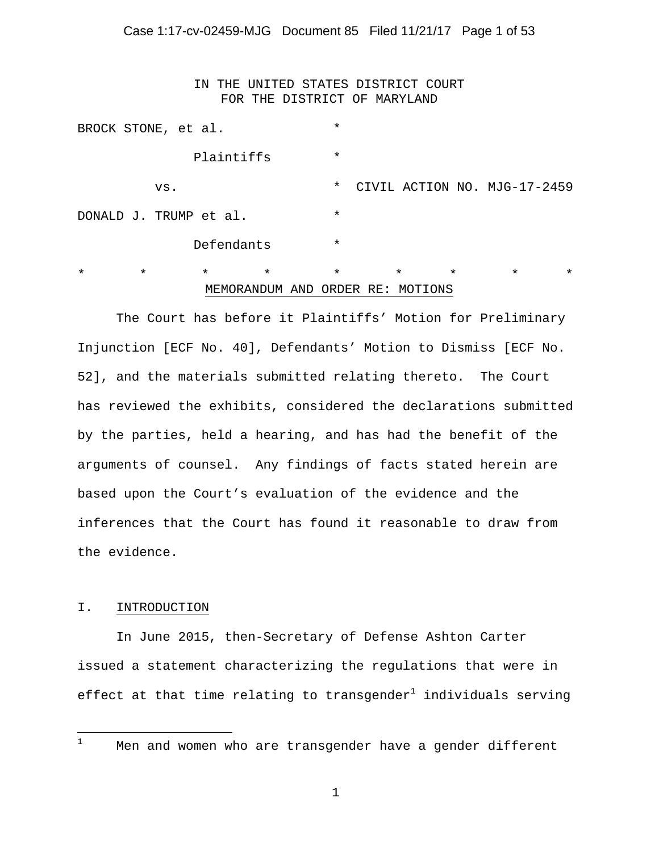IN THE UNITED STATES DISTRICT COURT FOR THE DISTRICT OF MARYLAND

|                        | BROCK STONE, et al. |            |                                     | $\star$ |                    |         |                              |         |
|------------------------|---------------------|------------|-------------------------------------|---------|--------------------|---------|------------------------------|---------|
|                        |                     | Plaintiffs |                                     | $\star$ |                    |         |                              |         |
|                        | VS.                 |            |                                     | $\star$ |                    |         | CIVIL ACTION NO. MJG-17-2459 |         |
| DONALD J. TRUMP et al. |                     |            |                                     | $\star$ |                    |         |                              |         |
|                        |                     | Defendants |                                     | $\star$ |                    |         |                              |         |
| $\star$                | $\star$             | $\star$    | $\star$<br>MEMORANDUM AND ORDER RE: | $\star$ | $\star$<br>MOTIONS | $\star$ | $\star$                      | $\star$ |

The Court has before it Plaintiffs' Motion for Preliminary Injunction [ECF No. 40], Defendants' Motion to Dismiss [ECF No. 52], and the materials submitted relating thereto. The Court has reviewed the exhibits, considered the declarations submitted by the parties, held a hearing, and has had the benefit of the arguments of counsel. Any findings of facts stated herein are based upon the Court's evaluation of the evidence and the inferences that the Court has found it reasonable to draw from the evidence.

#### I. INTRODUCTION

In June 2015, then-Secretary of Defense Ashton Carter issued a statement characterizing the regulations that were in effect at that time relating to transgender $^1$  individuals serving

 $\frac{1}{1}$ 

Men and women who are transgender have a gender different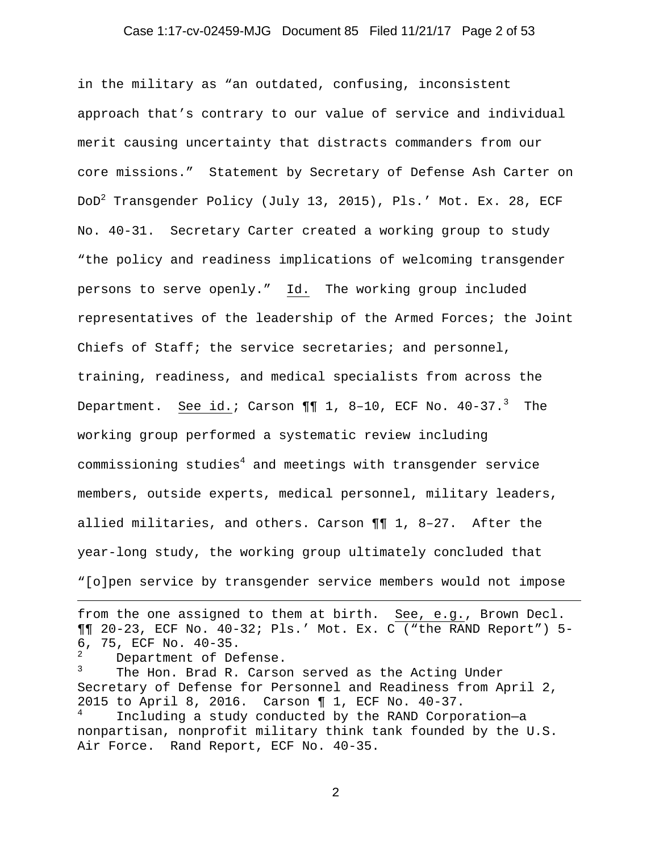#### Case 1:17-cv-02459-MJG Document 85 Filed 11/21/17 Page 2 of 53

in the military as "an outdated, confusing, inconsistent approach that's contrary to our value of service and individual merit causing uncertainty that distracts commanders from our core missions." Statement by Secretary of Defense Ash Carter on DoD $^2$  Transgender Policy (July 13, 2015), Pls.' Mot. Ex. 28, ECF No. 40-31. Secretary Carter created a working group to study "the policy and readiness implications of welcoming transgender persons to serve openly." Id. The working group included representatives of the leadership of the Armed Forces; the Joint Chiefs of Staff; the service secretaries; and personnel, training, readiness, and medical specialists from across the Department. <u>See id.</u>; Carson ¶¶  $1$ , 8-10, ECF No. 40-37.<sup>3</sup> The working group performed a systematic review including commissioning studies $^4$  and meetings with transgender service members, outside experts, medical personnel, military leaders, allied militaries, and others. Carson ¶¶ 1, 8–27. After the year-long study, the working group ultimately concluded that "[o]pen service by transgender service members would not impose

from the one assigned to them at birth. See, e.g., Brown Decl. ¶¶ 20-23, ECF No. 40-32; Pls.' Mot. Ex. C ("the RAND Report") 5- 6, 75, ECF No. 40-35.

2 Department of Defense.

i

3 The Hon. Brad R. Carson served as the Acting Under Secretary of Defense for Personnel and Readiness from April 2, 2015 to April 8, 2016. Carson ¶ 1, ECF No. 40-37. 4 Including a study conducted by the RAND Corporation—a nonpartisan, nonprofit military think tank founded by the U.S. Air Force. Rand Report, ECF No. 40-35.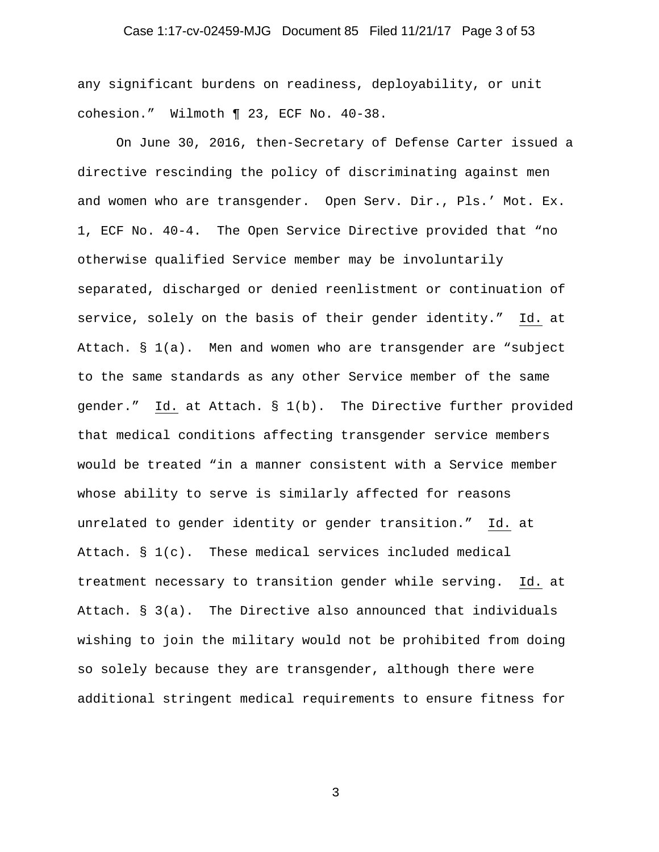# Case 1:17-cv-02459-MJG Document 85 Filed 11/21/17 Page 3 of 53

any significant burdens on readiness, deployability, or unit cohesion." Wilmoth ¶ 23, ECF No. 40-38.

On June 30, 2016, then-Secretary of Defense Carter issued a directive rescinding the policy of discriminating against men and women who are transgender. Open Serv. Dir., Pls.' Mot. Ex. 1, ECF No. 40-4. The Open Service Directive provided that "no otherwise qualified Service member may be involuntarily separated, discharged or denied reenlistment or continuation of service, solely on the basis of their gender identity." Id. at Attach. § 1(a). Men and women who are transgender are "subject to the same standards as any other Service member of the same gender." Id. at Attach. § 1(b). The Directive further provided that medical conditions affecting transgender service members would be treated "in a manner consistent with a Service member whose ability to serve is similarly affected for reasons unrelated to gender identity or gender transition." Id. at Attach. § 1(c). These medical services included medical treatment necessary to transition gender while serving. Id. at Attach. § 3(a). The Directive also announced that individuals wishing to join the military would not be prohibited from doing so solely because they are transgender, although there were additional stringent medical requirements to ensure fitness for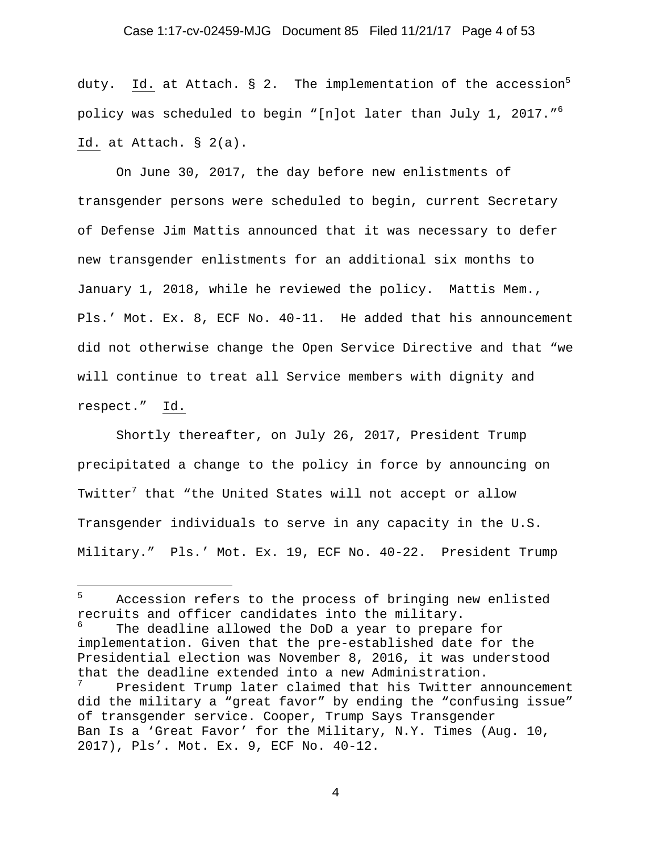# Case 1:17-cv-02459-MJG Document 85 Filed 11/21/17 Page 4 of 53

duty.  $\underline{Id.}$  at Attach. § 2. The implementation of the accession<sup>5</sup> policy was scheduled to begin "[n]ot later than July 1, 2017. $^{\prime\prime}$   $^6$ Id. at Attach. § 2(a).

On June 30, 2017, the day before new enlistments of transgender persons were scheduled to begin, current Secretary of Defense Jim Mattis announced that it was necessary to defer new transgender enlistments for an additional six months to January 1, 2018, while he reviewed the policy. Mattis Mem., Pls.' Mot. Ex. 8, ECF No. 40-11. He added that his announcement did not otherwise change the Open Service Directive and that "we will continue to treat all Service members with dignity and respect." Id.

Shortly thereafter, on July 26, 2017, President Trump precipitated a change to the policy in force by announcing on Twitter $^7$  that "the United States will not accept or allow Transgender individuals to serve in any capacity in the U.S. Military." Pls.' Mot. Ex. 19, ECF No. 40-22. President Trump

i

<sup>5</sup> Accession refers to the process of bringing new enlisted recruits and officer candidates into the military.

<sup>6</sup> The deadline allowed the DoD a year to prepare for implementation. Given that the pre-established date for the Presidential election was November 8, 2016, it was understood that the deadline extended into a new Administration.

<sup>7</sup> President Trump later claimed that his Twitter announcement did the military a "great favor" by ending the "confusing issue" of transgender service. Cooper, Trump Says Transgender Ban Is a 'Great Favor' for the Military, N.Y. Times (Aug. 10, 2017), Pls'. Mot. Ex. 9, ECF No. 40-12.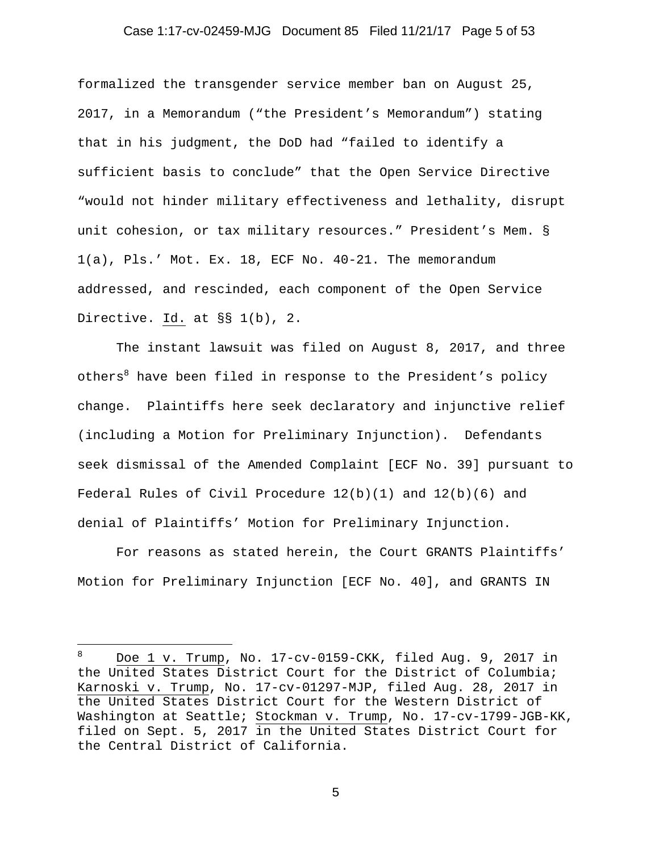### Case 1:17-cv-02459-MJG Document 85 Filed 11/21/17 Page 5 of 53

formalized the transgender service member ban on August 25, 2017, in a Memorandum ("the President's Memorandum") stating that in his judgment, the DoD had "failed to identify a sufficient basis to conclude" that the Open Service Directive "would not hinder military effectiveness and lethality, disrupt unit cohesion, or tax military resources." President's Mem. § 1(a), Pls.' Mot. Ex. 18, ECF No. 40-21. The memorandum addressed, and rescinded, each component of the Open Service Directive. Id. at §§ 1(b), 2.

The instant lawsuit was filed on August 8, 2017, and three others<sup>8</sup> have been filed in response to the President's policy change. Plaintiffs here seek declaratory and injunctive relief (including a Motion for Preliminary Injunction). Defendants seek dismissal of the Amended Complaint [ECF No. 39] pursuant to Federal Rules of Civil Procedure  $12(b)(1)$  and  $12(b)(6)$  and denial of Plaintiffs' Motion for Preliminary Injunction.

For reasons as stated herein, the Court GRANTS Plaintiffs' Motion for Preliminary Injunction [ECF No. 40], and GRANTS IN

i

<sup>8</sup> Doe 1 v. Trump, No. 17-cv-0159-CKK, filed Aug. 9, 2017 in the United States District Court for the District of Columbia; Karnoski v. Trump, No. 17-cv-01297-MJP, filed Aug. 28, 2017 in the United States District Court for the Western District of Washington at Seattle; Stockman v. Trump, No. 17-cv-1799-JGB-KK, filed on Sept. 5, 2017 in the United States District Court for the Central District of California.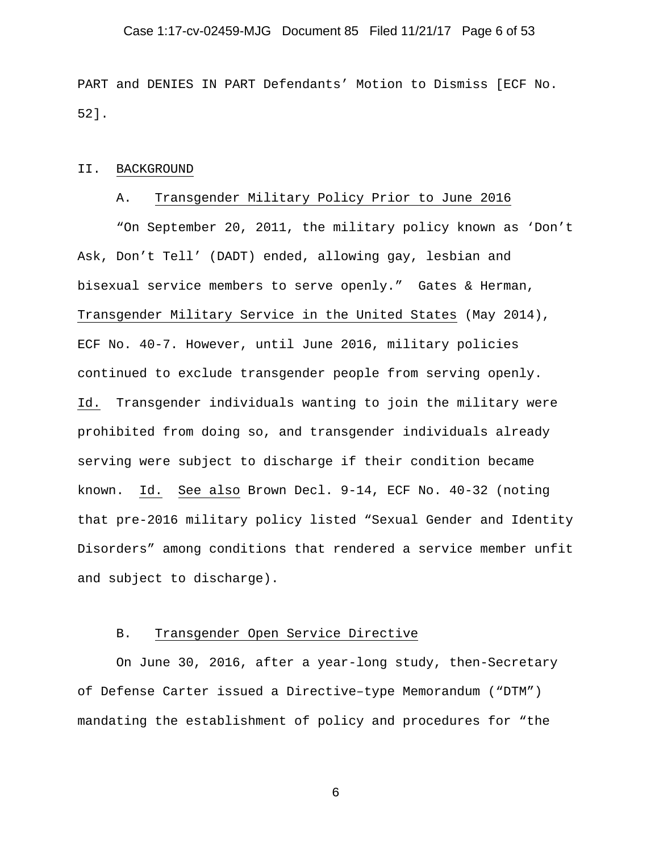#### Case 1:17-cv-02459-MJG Document 85 Filed 11/21/17 Page 6 of 53

PART and DENIES IN PART Defendants' Motion to Dismiss [ECF No. 52].

#### II. BACKGROUND

#### A. Transgender Military Policy Prior to June 2016

"On September 20, 2011, the military policy known as 'Don't Ask, Don't Tell' (DADT) ended, allowing gay, lesbian and bisexual service members to serve openly." Gates & Herman, Transgender Military Service in the United States (May 2014), ECF No. 40-7. However, until June 2016, military policies continued to exclude transgender people from serving openly. Id. Transgender individuals wanting to join the military were prohibited from doing so, and transgender individuals already serving were subject to discharge if their condition became known. Id. See also Brown Decl. 9-14, ECF No. 40-32 (noting that pre-2016 military policy listed "Sexual Gender and Identity Disorders" among conditions that rendered a service member unfit and subject to discharge).

### B. Transgender Open Service Directive

On June 30, 2016, after a year-long study, then-Secretary of Defense Carter issued a Directive–type Memorandum ("DTM") mandating the establishment of policy and procedures for "the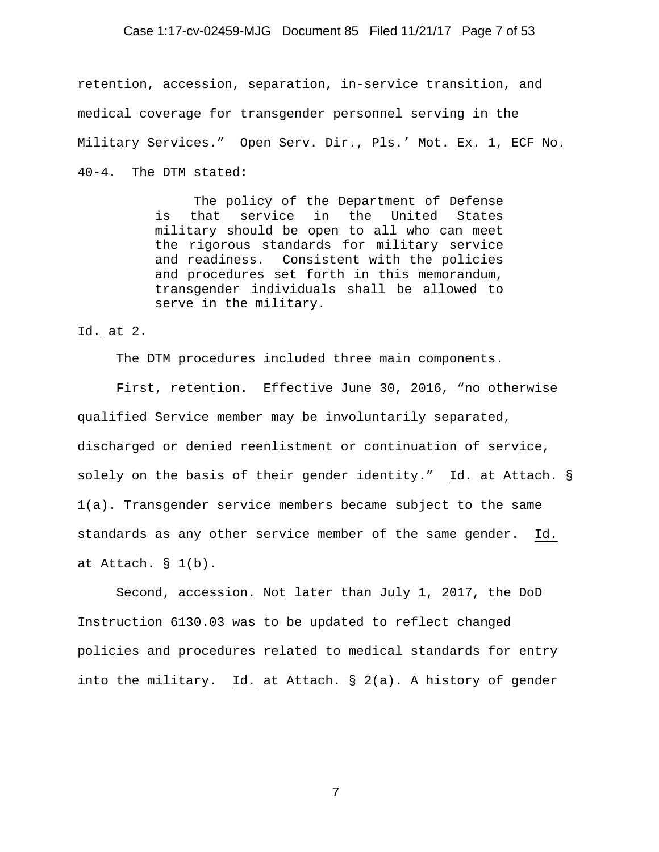#### Case 1:17-cv-02459-MJG Document 85 Filed 11/21/17 Page 7 of 53

retention, accession, separation, in-service transition, and medical coverage for transgender personnel serving in the Military Services." Open Serv. Dir., Pls.' Mot. Ex. 1, ECF No. 40-4. The DTM stated:

> The policy of the Department of Defense is that service in the United States military should be open to all who can meet the rigorous standards for military service and readiness. Consistent with the policies and procedures set forth in this memorandum, transgender individuals shall be allowed to serve in the military.

Id. at 2.

The DTM procedures included three main components.

First, retention. Effective June 30, 2016, "no otherwise qualified Service member may be involuntarily separated, discharged or denied reenlistment or continuation of service, solely on the basis of their gender identity." Id. at Attach. § 1(a). Transgender service members became subject to the same standards as any other service member of the same gender. Id. at Attach. § 1(b).

Second, accession. Not later than July 1, 2017, the DoD Instruction 6130.03 was to be updated to reflect changed policies and procedures related to medical standards for entry into the military. Id. at Attach. § 2(a). A history of gender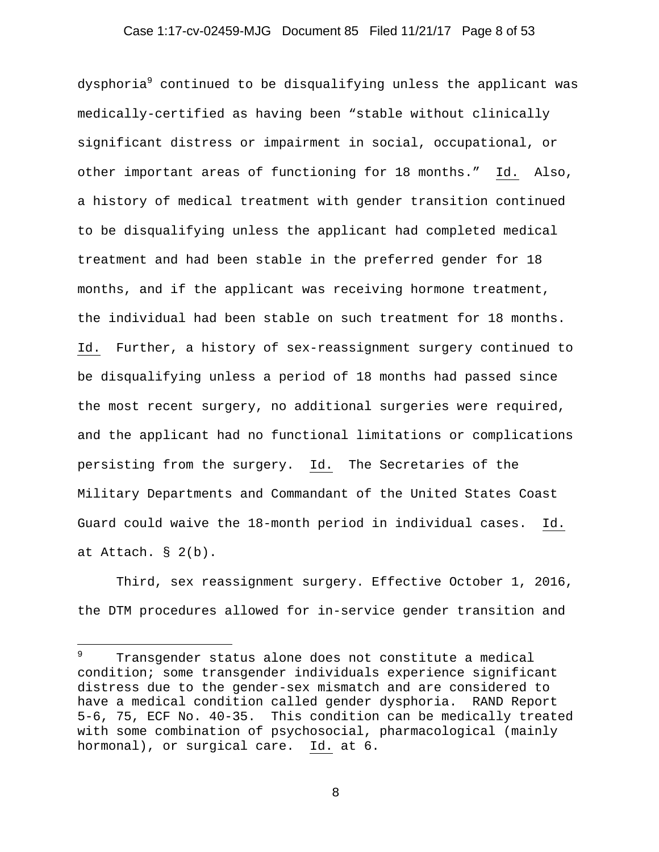### Case 1:17-cv-02459-MJG Document 85 Filed 11/21/17 Page 8 of 53

dysphoria $^{\circ}$  continued to be disqualifying unless the applicant was medically-certified as having been "stable without clinically significant distress or impairment in social, occupational, or other important areas of functioning for 18 months." Id. Also, a history of medical treatment with gender transition continued to be disqualifying unless the applicant had completed medical treatment and had been stable in the preferred gender for 18 months, and if the applicant was receiving hormone treatment, the individual had been stable on such treatment for 18 months. Id. Further, a history of sex-reassignment surgery continued to be disqualifying unless a period of 18 months had passed since the most recent surgery, no additional surgeries were required, and the applicant had no functional limitations or complications persisting from the surgery. Id. The Secretaries of the Military Departments and Commandant of the United States Coast Guard could waive the 18-month period in individual cases. Id. at Attach. § 2(b).

Third, sex reassignment surgery. Effective October 1, 2016, the DTM procedures allowed for in-service gender transition and

i

<sup>9</sup> Transgender status alone does not constitute a medical condition; some transgender individuals experience significant distress due to the gender-sex mismatch and are considered to have a medical condition called gender dysphoria. RAND Report 5-6, 75, ECF No. 40-35. This condition can be medically treated with some combination of psychosocial, pharmacological (mainly hormonal), or surgical care. Id. at 6.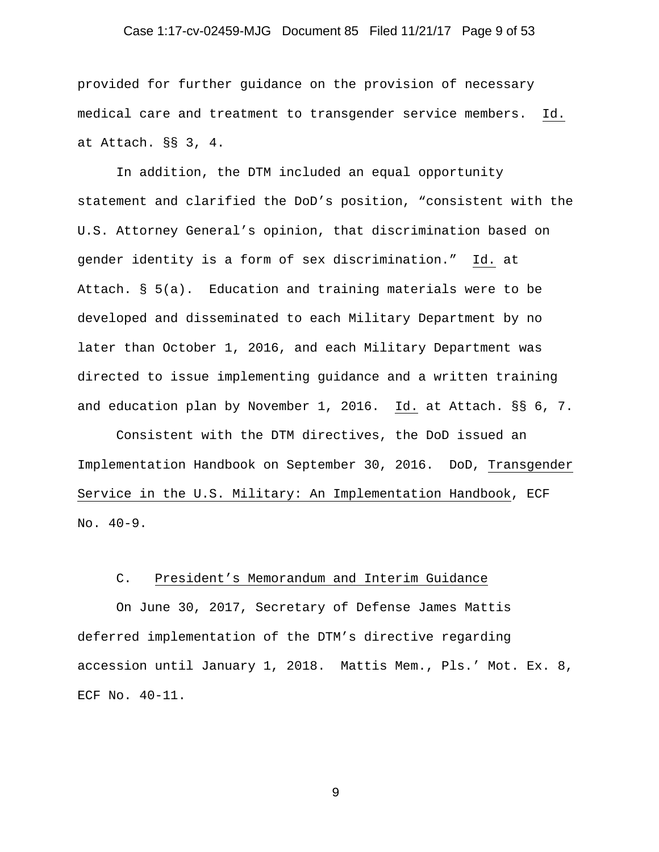#### Case 1:17-cv-02459-MJG Document 85 Filed 11/21/17 Page 9 of 53

provided for further guidance on the provision of necessary medical care and treatment to transgender service members. Id. at Attach. §§ 3, 4.

In addition, the DTM included an equal opportunity statement and clarified the DoD's position, "consistent with the U.S. Attorney General's opinion, that discrimination based on gender identity is a form of sex discrimination." Id. at Attach. § 5(a). Education and training materials were to be developed and disseminated to each Military Department by no later than October 1, 2016, and each Military Department was directed to issue implementing guidance and a written training and education plan by November 1, 2016. Id. at Attach. §§ 6, 7.

Consistent with the DTM directives, the DoD issued an Implementation Handbook on September 30, 2016. DoD, Transgender Service in the U.S. Military: An Implementation Handbook, ECF No. 40-9.

### C. President's Memorandum and Interim Guidance

On June 30, 2017, Secretary of Defense James Mattis deferred implementation of the DTM's directive regarding accession until January 1, 2018. Mattis Mem., Pls.' Mot. Ex. 8, ECF No. 40-11.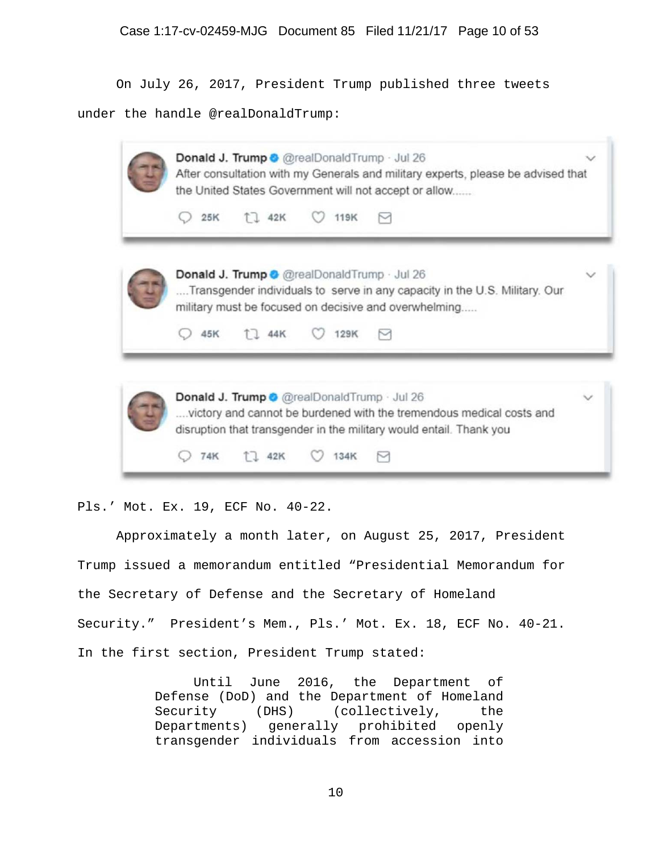On July 26, 2017, President Trump published three tweets

under the handle @realDonaldTrump:

| Donald J. Trump @ @realDonaldTrump · Jul 26<br>After consultation with my Generals and military experts, please be advised that<br>the United States Government will not accept or allow                            |  |  |  |  |  |  |  |  |
|---------------------------------------------------------------------------------------------------------------------------------------------------------------------------------------------------------------------|--|--|--|--|--|--|--|--|
| T 1 42K<br>119K<br>25K                                                                                                                                                                                              |  |  |  |  |  |  |  |  |
| <b>Donald J. Trump @</b> @realDonaldTrump · Jul 26<br>Transgender individuals to serve in any capacity in the U.S. Military. Our<br>military must be focused on decisive and overwhelming<br>1 1 44K<br>129K<br>45K |  |  |  |  |  |  |  |  |
| <b>Donald J. Trump O</b> @realDonaldTrump Jul 26                                                                                                                                                                    |  |  |  |  |  |  |  |  |
|                                                                                                                                                                                                                     |  |  |  |  |  |  |  |  |

Pls.' Mot. Ex. 19, ECF No. 40-22.

Approximately a month later, on August 25, 2017, President Trump issued a memorandum entitled "Presidential Memorandum for the Secretary of Defense and the Secretary of Homeland Security." President's Mem., Pls.' Mot. Ex. 18, ECF No. 40-21. In the first section, President Trump stated:

> Until June 2016, the Department of Defense (DoD) and the Department of Homeland Security (DHS) (collectively, the Departments) generally prohibited openly transgender individuals from accession into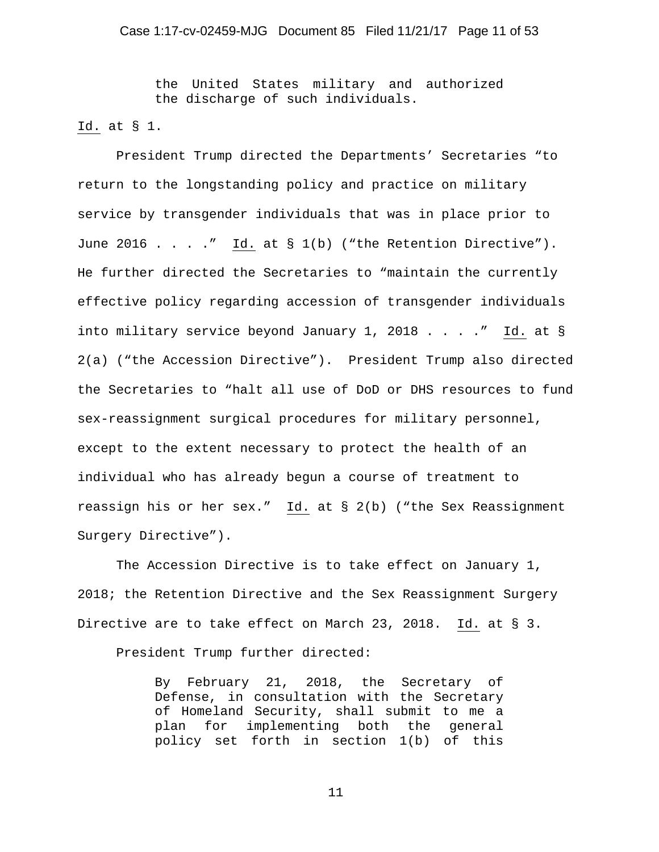the United States military and authorized the discharge of such individuals.

#### Id. at § 1.

President Trump directed the Departments' Secretaries "to return to the longstanding policy and practice on military service by transgender individuals that was in place prior to June 2016 . . . ." Id. at  $S_1(b)$  ("the Retention Directive"). He further directed the Secretaries to "maintain the currently effective policy regarding accession of transgender individuals into military service beyond January 1, 2018 . . . ." Id. at  $\S$ 2(a) ("the Accession Directive"). President Trump also directed the Secretaries to "halt all use of DoD or DHS resources to fund sex-reassignment surgical procedures for military personnel, except to the extent necessary to protect the health of an individual who has already begun a course of treatment to reassign his or her sex." Id. at § 2(b) ("the Sex Reassignment Surgery Directive").

The Accession Directive is to take effect on January 1, 2018; the Retention Directive and the Sex Reassignment Surgery Directive are to take effect on March 23, 2018. Id. at § 3.

President Trump further directed:

By February 21, 2018, the Secretary of Defense, in consultation with the Secretary of Homeland Security, shall submit to me a plan for implementing both the general policy set forth in section 1(b) of this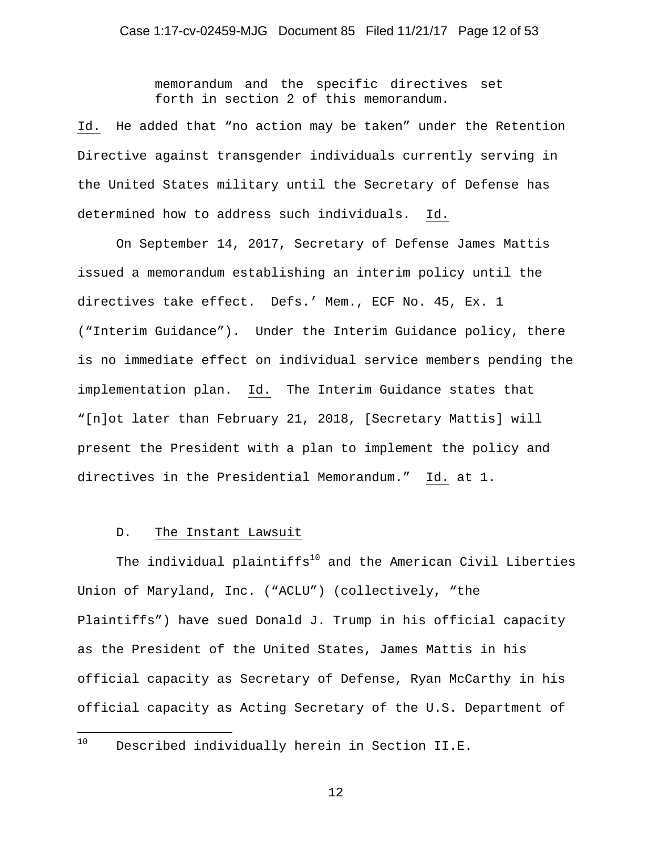memorandum and the specific directives set forth in section 2 of this memorandum.

Id. He added that "no action may be taken" under the Retention Directive against transgender individuals currently serving in the United States military until the Secretary of Defense has determined how to address such individuals. Id.

On September 14, 2017, Secretary of Defense James Mattis issued a memorandum establishing an interim policy until the directives take effect. Defs.' Mem., ECF No. 45, Ex. 1 ("Interim Guidance"). Under the Interim Guidance policy, there is no immediate effect on individual service members pending the implementation plan. Id. The Interim Guidance states that "[n]ot later than February 21, 2018, [Secretary Mattis] will present the President with a plan to implement the policy and directives in the Presidential Memorandum." Id. at 1.

### D. The Instant Lawsuit

The individual plaintiffs $^{10}$  and the American Civil Liberties Union of Maryland, Inc. ("ACLU") (collectively, "the Plaintiffs") have sued Donald J. Trump in his official capacity as the President of the United States, James Mattis in his official capacity as Secretary of Defense, Ryan McCarthy in his official capacity as Acting Secretary of the U.S. Department of

#### $10$ Described individually herein in Section II.E.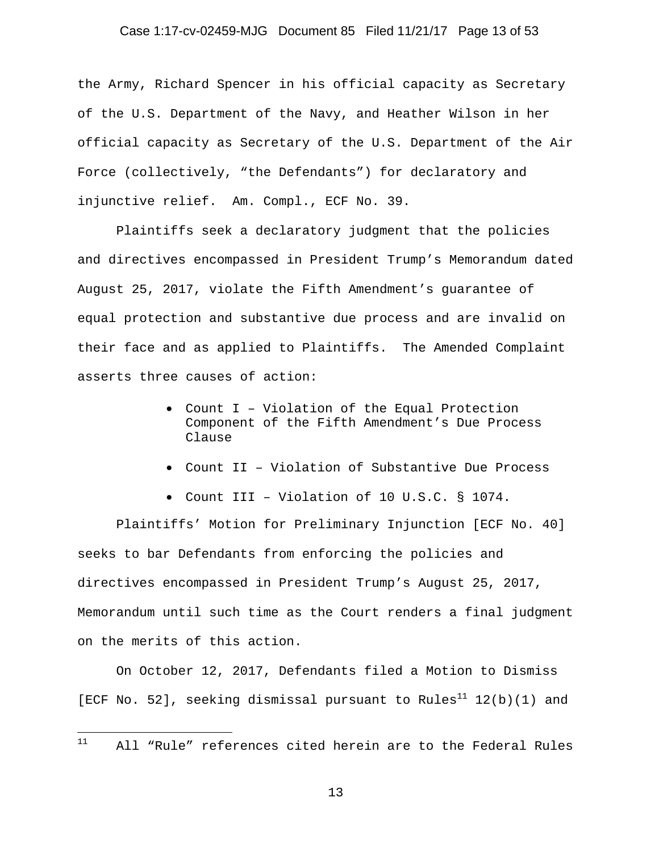#### Case 1:17-cv-02459-MJG Document 85 Filed 11/21/17 Page 13 of 53

the Army, Richard Spencer in his official capacity as Secretary of the U.S. Department of the Navy, and Heather Wilson in her official capacity as Secretary of the U.S. Department of the Air Force (collectively, "the Defendants") for declaratory and injunctive relief. Am. Compl., ECF No. 39.

Plaintiffs seek a declaratory judgment that the policies and directives encompassed in President Trump's Memorandum dated August 25, 2017, violate the Fifth Amendment's guarantee of equal protection and substantive due process and are invalid on their face and as applied to Plaintiffs. The Amended Complaint asserts three causes of action:

- Count I Violation of the Equal Protection Component of the Fifth Amendment's Due Process Clause
- Count II Violation of Substantive Due Process
- Count III Violation of 10 U.S.C. § 1074.

Plaintiffs' Motion for Preliminary Injunction [ECF No. 40] seeks to bar Defendants from enforcing the policies and directives encompassed in President Trump's August 25, 2017, Memorandum until such time as the Court renders a final judgment on the merits of this action.

On October 12, 2017, Defendants filed a Motion to Dismiss [ECF No. 52], seeking dismissal pursuant to Rules<sup>11</sup> 12(b)(1) and

#### $11$ 11 All "Rule" references cited herein are to the Federal Rules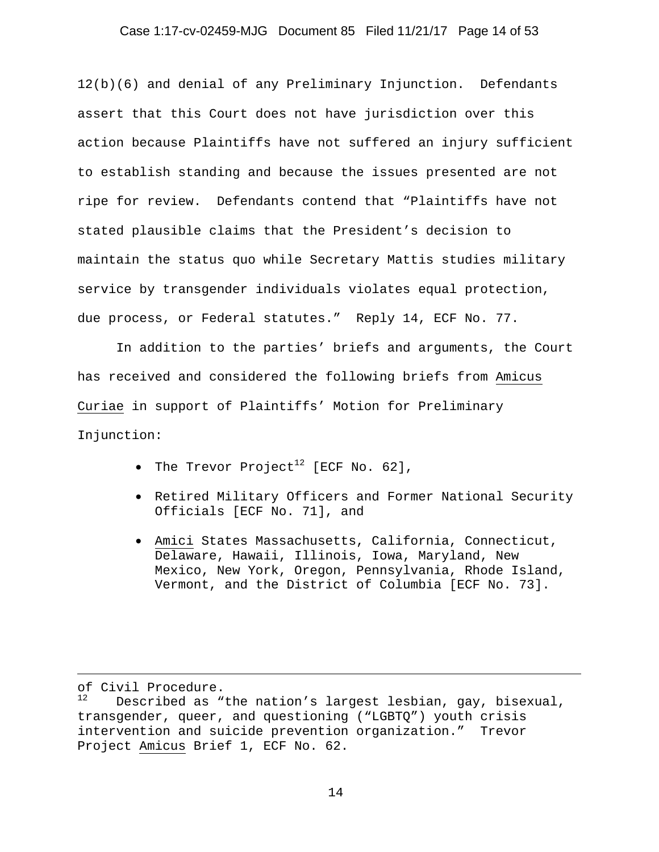### Case 1:17-cv-02459-MJG Document 85 Filed 11/21/17 Page 14 of 53

12(b)(6) and denial of any Preliminary Injunction. Defendants assert that this Court does not have jurisdiction over this action because Plaintiffs have not suffered an injury sufficient to establish standing and because the issues presented are not ripe for review. Defendants contend that "Plaintiffs have not stated plausible claims that the President's decision to maintain the status quo while Secretary Mattis studies military service by transgender individuals violates equal protection, due process, or Federal statutes." Reply 14, ECF No. 77.

In addition to the parties' briefs and arguments, the Court has received and considered the following briefs from Amicus Curiae in support of Plaintiffs' Motion for Preliminary Injunction:

- The Trevor Project<sup>12</sup> [ECF No. 62],
- Retired Military Officers and Former National Security Officials [ECF No. 71], and
- Amici States Massachusetts, California, Connecticut, Delaware, Hawaii, Illinois, Iowa, Maryland, New Mexico, New York, Oregon, Pennsylvania, Rhode Island, Vermont, and the District of Columbia [ECF No. 73].

of Civil Procedure.

i<br>Li

Described as "the nation's largest lesbian, gay, bisexual, transgender, queer, and questioning ("LGBTQ") youth crisis intervention and suicide prevention organization." Trevor Project Amicus Brief 1, ECF No. 62.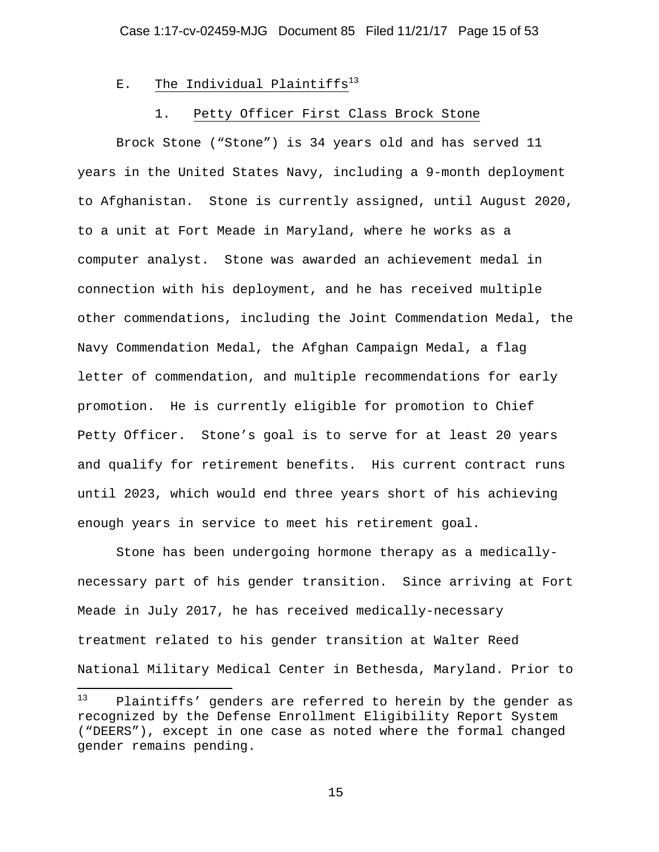# E. The Individual Plaintiffs<sup>13</sup>

#### 1. Petty Officer First Class Brock Stone

Brock Stone ("Stone") is 34 years old and has served 11 years in the United States Navy, including a 9-month deployment to Afghanistan. Stone is currently assigned, until August 2020, to a unit at Fort Meade in Maryland, where he works as a computer analyst. Stone was awarded an achievement medal in connection with his deployment, and he has received multiple other commendations, including the Joint Commendation Medal, the Navy Commendation Medal, the Afghan Campaign Medal, a flag letter of commendation, and multiple recommendations for early promotion. He is currently eligible for promotion to Chief Petty Officer. Stone's goal is to serve for at least 20 years and qualify for retirement benefits. His current contract runs until 2023, which would end three years short of his achieving enough years in service to meet his retirement goal.

Stone has been undergoing hormone therapy as a medicallynecessary part of his gender transition. Since arriving at Fort Meade in July 2017, he has received medically-necessary treatment related to his gender transition at Walter Reed National Military Medical Center in Bethesda, Maryland. Prior to

 $13$ Plaintiffs' genders are referred to herein by the gender as recognized by the Defense Enrollment Eligibility Report System ("DEERS"), except in one case as noted where the formal changed gender remains pending.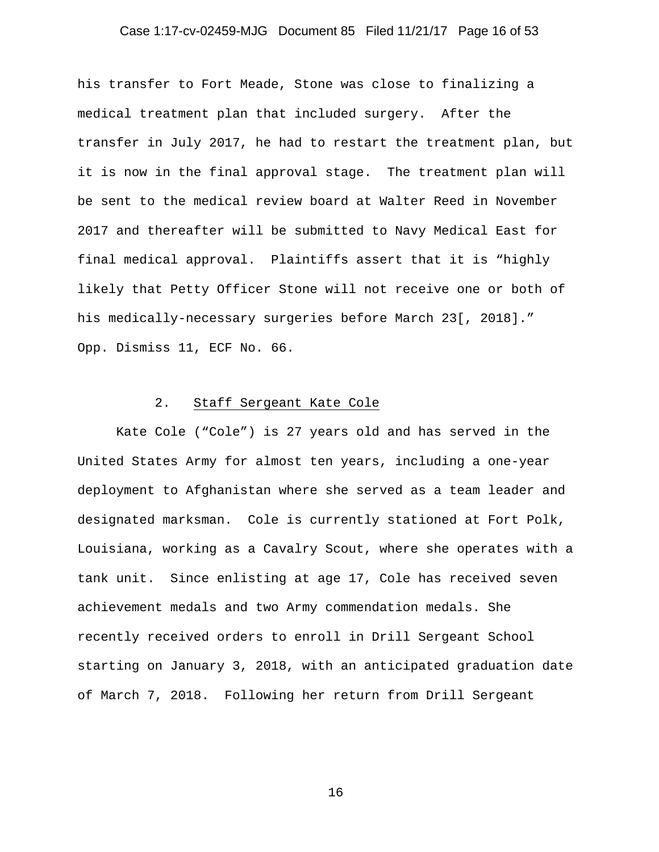### Case 1:17-cv-02459-MJG Document 85 Filed 11/21/17 Page 16 of 53

his transfer to Fort Meade, Stone was close to finalizing a medical treatment plan that included surgery. After the transfer in July 2017, he had to restart the treatment plan, but it is now in the final approval stage. The treatment plan will be sent to the medical review board at Walter Reed in November 2017 and thereafter will be submitted to Navy Medical East for final medical approval. Plaintiffs assert that it is "highly likely that Petty Officer Stone will not receive one or both of his medically-necessary surgeries before March 23[, 2018]." Opp. Dismiss 11, ECF No. 66.

### 2. Staff Sergeant Kate Cole

Kate Cole ("Cole") is 27 years old and has served in the United States Army for almost ten years, including a one-year deployment to Afghanistan where she served as a team leader and designated marksman. Cole is currently stationed at Fort Polk, Louisiana, working as a Cavalry Scout, where she operates with a tank unit. Since enlisting at age 17, Cole has received seven achievement medals and two Army commendation medals. She recently received orders to enroll in Drill Sergeant School starting on January 3, 2018, with an anticipated graduation date of March 7, 2018. Following her return from Drill Sergeant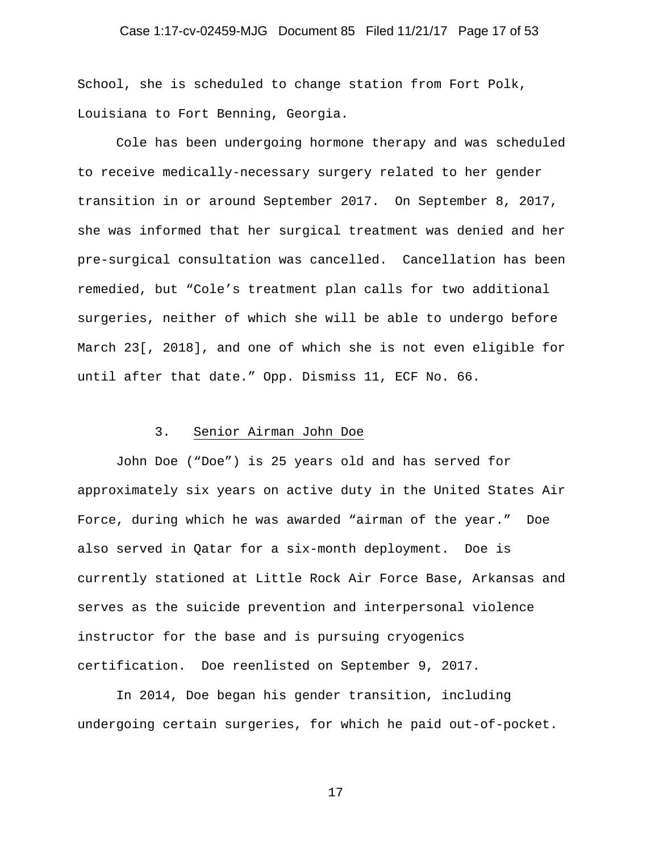#### Case 1:17-cv-02459-MJG Document 85 Filed 11/21/17 Page 17 of 53

School, she is scheduled to change station from Fort Polk, Louisiana to Fort Benning, Georgia.

Cole has been undergoing hormone therapy and was scheduled to receive medically-necessary surgery related to her gender transition in or around September 2017. On September 8, 2017, she was informed that her surgical treatment was denied and her pre-surgical consultation was cancelled. Cancellation has been remedied, but "Cole's treatment plan calls for two additional surgeries, neither of which she will be able to undergo before March 23[, 2018], and one of which she is not even eligible for until after that date." Opp. Dismiss 11, ECF No. 66.

#### 3. Senior Airman John Doe

John Doe ("Doe") is 25 years old and has served for approximately six years on active duty in the United States Air Force, during which he was awarded "airman of the year." Doe also served in Qatar for a six-month deployment. Doe is currently stationed at Little Rock Air Force Base, Arkansas and serves as the suicide prevention and interpersonal violence instructor for the base and is pursuing cryogenics certification. Doe reenlisted on September 9, 2017.

In 2014, Doe began his gender transition, including undergoing certain surgeries, for which he paid out-of-pocket.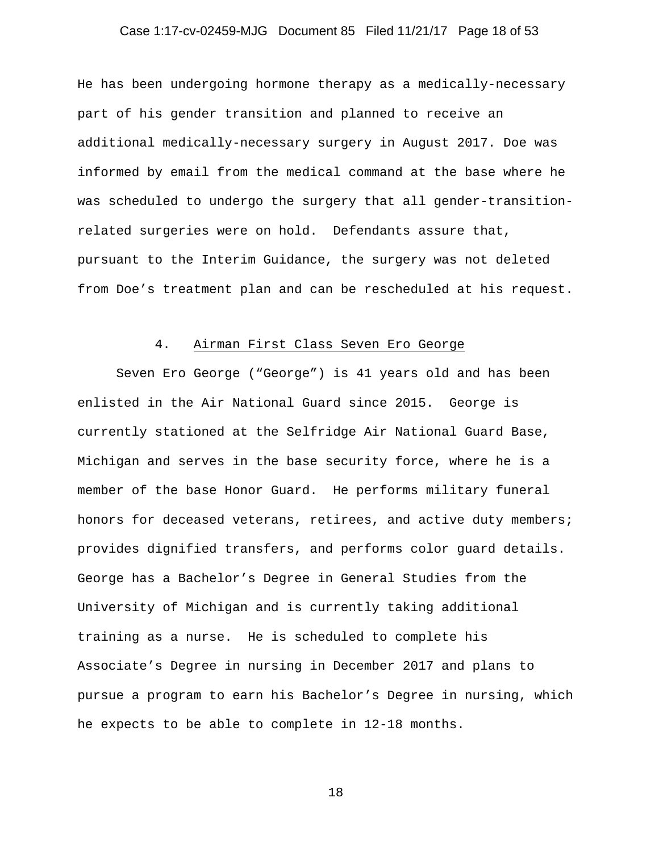# Case 1:17-cv-02459-MJG Document 85 Filed 11/21/17 Page 18 of 53

He has been undergoing hormone therapy as a medically-necessary part of his gender transition and planned to receive an additional medically-necessary surgery in August 2017. Doe was informed by email from the medical command at the base where he was scheduled to undergo the surgery that all gender-transitionrelated surgeries were on hold. Defendants assure that, pursuant to the Interim Guidance, the surgery was not deleted from Doe's treatment plan and can be rescheduled at his request.

#### 4. Airman First Class Seven Ero George

Seven Ero George ("George") is 41 years old and has been enlisted in the Air National Guard since 2015. George is currently stationed at the Selfridge Air National Guard Base, Michigan and serves in the base security force, where he is a member of the base Honor Guard. He performs military funeral honors for deceased veterans, retirees, and active duty members; provides dignified transfers, and performs color guard details. George has a Bachelor's Degree in General Studies from the University of Michigan and is currently taking additional training as a nurse. He is scheduled to complete his Associate's Degree in nursing in December 2017 and plans to pursue a program to earn his Bachelor's Degree in nursing, which he expects to be able to complete in 12-18 months.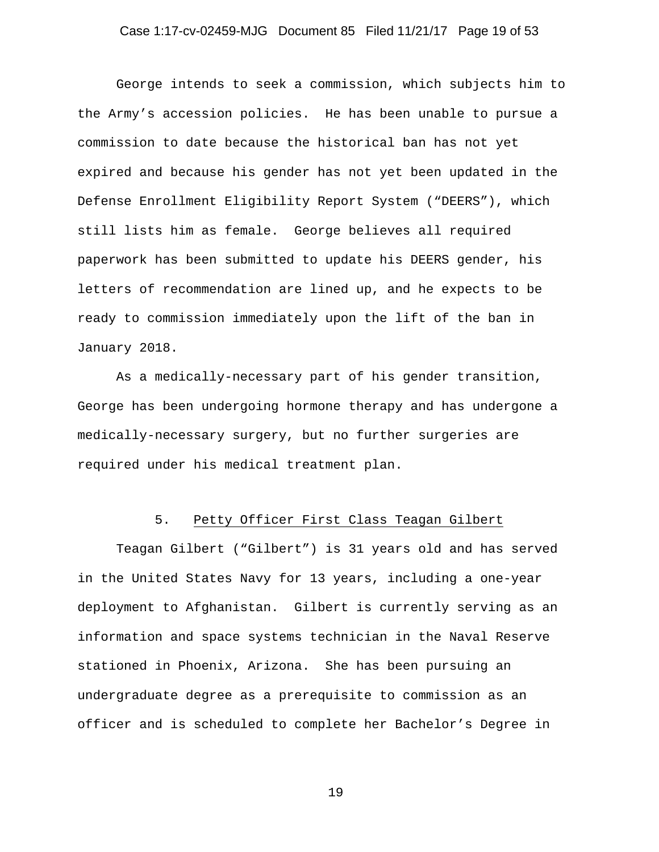### Case 1:17-cv-02459-MJG Document 85 Filed 11/21/17 Page 19 of 53

George intends to seek a commission, which subjects him to the Army's accession policies. He has been unable to pursue a commission to date because the historical ban has not yet expired and because his gender has not yet been updated in the Defense Enrollment Eligibility Report System ("DEERS"), which still lists him as female. George believes all required paperwork has been submitted to update his DEERS gender, his letters of recommendation are lined up, and he expects to be ready to commission immediately upon the lift of the ban in January 2018.

As a medically-necessary part of his gender transition, George has been undergoing hormone therapy and has undergone a medically-necessary surgery, but no further surgeries are required under his medical treatment plan.

#### 5. Petty Officer First Class Teagan Gilbert

Teagan Gilbert ("Gilbert") is 31 years old and has served in the United States Navy for 13 years, including a one-year deployment to Afghanistan. Gilbert is currently serving as an information and space systems technician in the Naval Reserve stationed in Phoenix, Arizona. She has been pursuing an undergraduate degree as a prerequisite to commission as an officer and is scheduled to complete her Bachelor's Degree in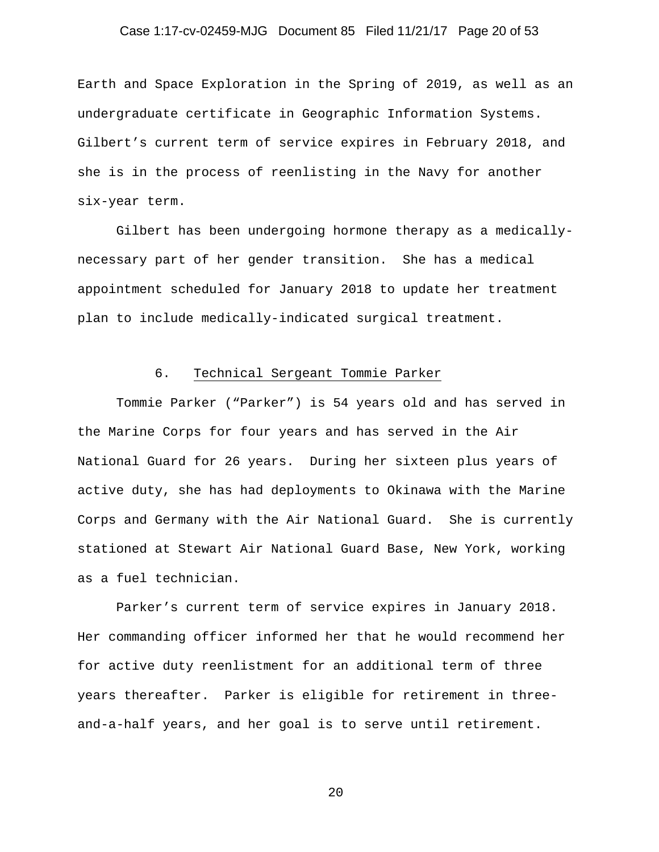## Case 1:17-cv-02459-MJG Document 85 Filed 11/21/17 Page 20 of 53

Earth and Space Exploration in the Spring of 2019, as well as an undergraduate certificate in Geographic Information Systems. Gilbert's current term of service expires in February 2018, and she is in the process of reenlisting in the Navy for another six-year term.

Gilbert has been undergoing hormone therapy as a medicallynecessary part of her gender transition. She has a medical appointment scheduled for January 2018 to update her treatment plan to include medically-indicated surgical treatment.

## 6. Technical Sergeant Tommie Parker

Tommie Parker ("Parker") is 54 years old and has served in the Marine Corps for four years and has served in the Air National Guard for 26 years. During her sixteen plus years of active duty, she has had deployments to Okinawa with the Marine Corps and Germany with the Air National Guard. She is currently stationed at Stewart Air National Guard Base, New York, working as a fuel technician.

Parker's current term of service expires in January 2018. Her commanding officer informed her that he would recommend her for active duty reenlistment for an additional term of three years thereafter. Parker is eligible for retirement in threeand-a-half years, and her goal is to serve until retirement.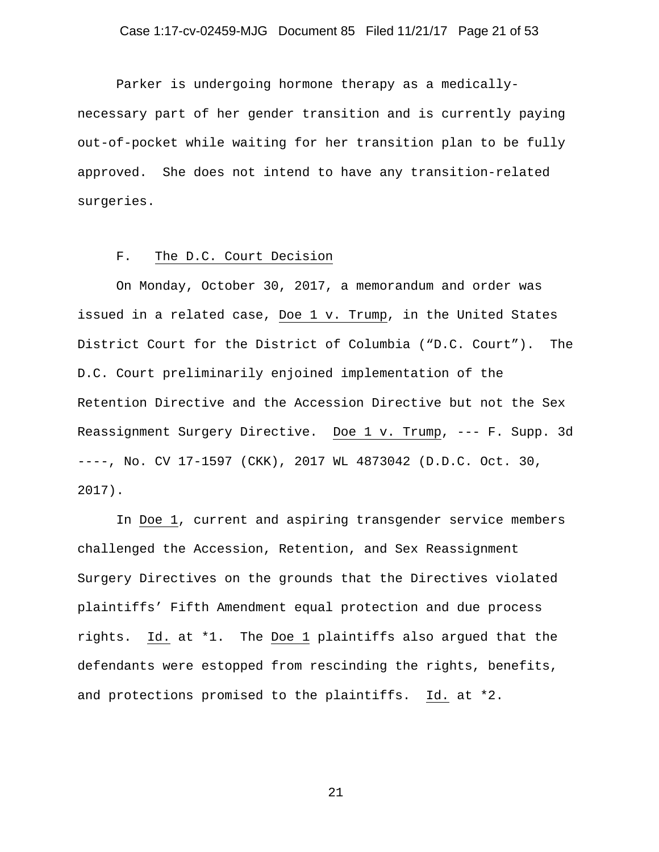## Case 1:17-cv-02459-MJG Document 85 Filed 11/21/17 Page 21 of 53

Parker is undergoing hormone therapy as a medicallynecessary part of her gender transition and is currently paying out-of-pocket while waiting for her transition plan to be fully approved. She does not intend to have any transition-related surgeries.

### F. The D.C. Court Decision

On Monday, October 30, 2017, a memorandum and order was issued in a related case, Doe 1 v. Trump, in the United States District Court for the District of Columbia ("D.C. Court"). The D.C. Court preliminarily enjoined implementation of the Retention Directive and the Accession Directive but not the Sex Reassignment Surgery Directive. Doe 1 v. Trump, --- F. Supp. 3d ----, No. CV 17-1597 (CKK), 2017 WL 4873042 (D.D.C. Oct. 30, 2017).

In Doe 1, current and aspiring transgender service members challenged the Accession, Retention, and Sex Reassignment Surgery Directives on the grounds that the Directives violated plaintiffs' Fifth Amendment equal protection and due process rights. Id. at \*1. The Doe 1 plaintiffs also argued that the defendants were estopped from rescinding the rights, benefits, and protections promised to the plaintiffs. Id. at \*2.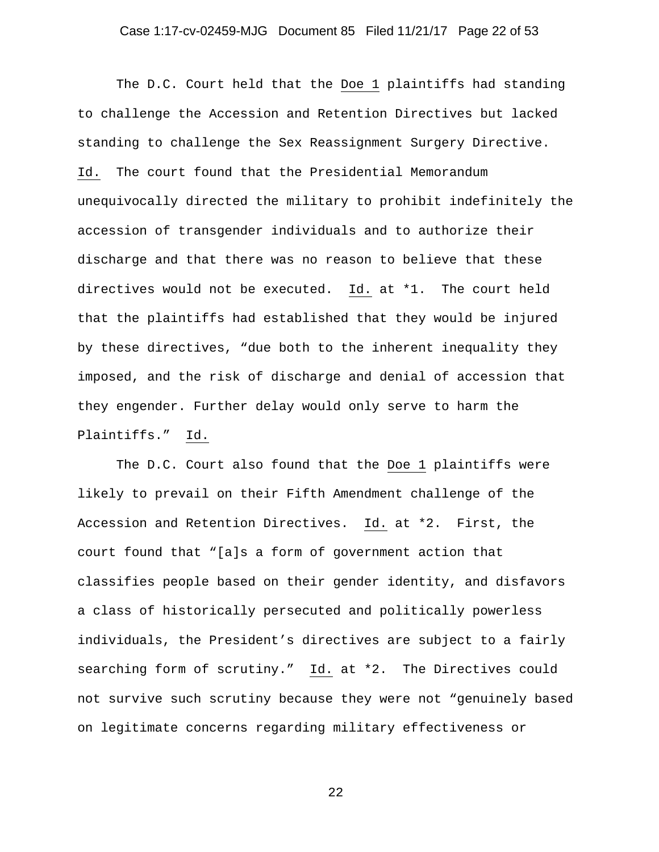#### Case 1:17-cv-02459-MJG Document 85 Filed 11/21/17 Page 22 of 53

The D.C. Court held that the Doe 1 plaintiffs had standing to challenge the Accession and Retention Directives but lacked standing to challenge the Sex Reassignment Surgery Directive. Id. The court found that the Presidential Memorandum unequivocally directed the military to prohibit indefinitely the accession of transgender individuals and to authorize their discharge and that there was no reason to believe that these directives would not be executed. Id. at \*1. The court held that the plaintiffs had established that they would be injured by these directives, "due both to the inherent inequality they imposed, and the risk of discharge and denial of accession that they engender. Further delay would only serve to harm the Plaintiffs." Id.

The D.C. Court also found that the Doe 1 plaintiffs were likely to prevail on their Fifth Amendment challenge of the Accession and Retention Directives. Id. at \*2. First, the court found that "[a]s a form of government action that classifies people based on their gender identity, and disfavors a class of historically persecuted and politically powerless individuals, the President's directives are subject to a fairly searching form of scrutiny." Id. at \*2. The Directives could not survive such scrutiny because they were not "genuinely based on legitimate concerns regarding military effectiveness or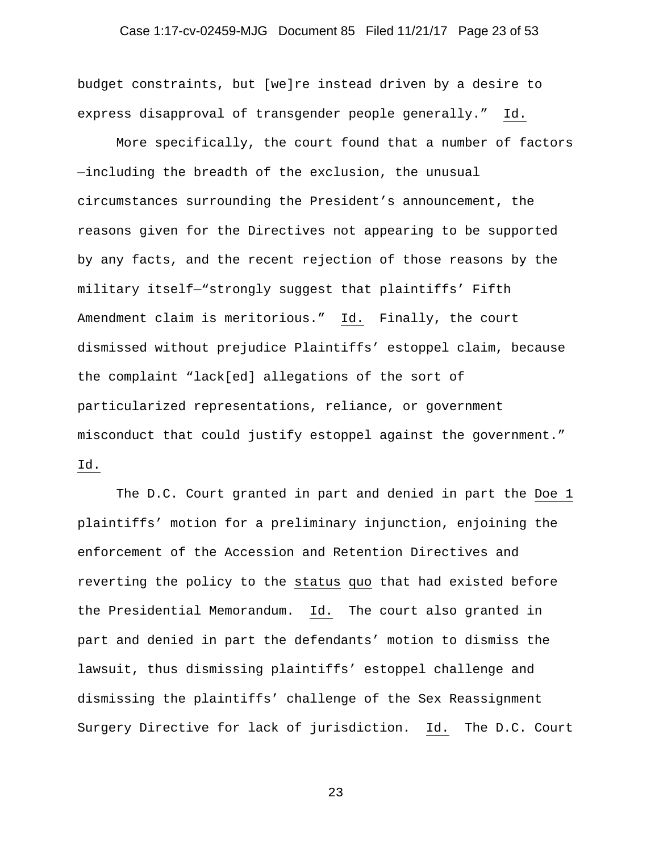# Case 1:17-cv-02459-MJG Document 85 Filed 11/21/17 Page 23 of 53

budget constraints, but [we]re instead driven by a desire to express disapproval of transgender people generally." Id.

More specifically, the court found that a number of factors —including the breadth of the exclusion, the unusual circumstances surrounding the President's announcement, the reasons given for the Directives not appearing to be supported by any facts, and the recent rejection of those reasons by the military itself—"strongly suggest that plaintiffs' Fifth Amendment claim is meritorious." Id. Finally, the court dismissed without prejudice Plaintiffs' estoppel claim, because the complaint "lack[ed] allegations of the sort of particularized representations, reliance, or government misconduct that could justify estoppel against the government." Id.

The D.C. Court granted in part and denied in part the Doe 1 plaintiffs' motion for a preliminary injunction, enjoining the enforcement of the Accession and Retention Directives and reverting the policy to the status quo that had existed before the Presidential Memorandum. Id. The court also granted in part and denied in part the defendants' motion to dismiss the lawsuit, thus dismissing plaintiffs' estoppel challenge and dismissing the plaintiffs' challenge of the Sex Reassignment Surgery Directive for lack of jurisdiction. Id. The D.C. Court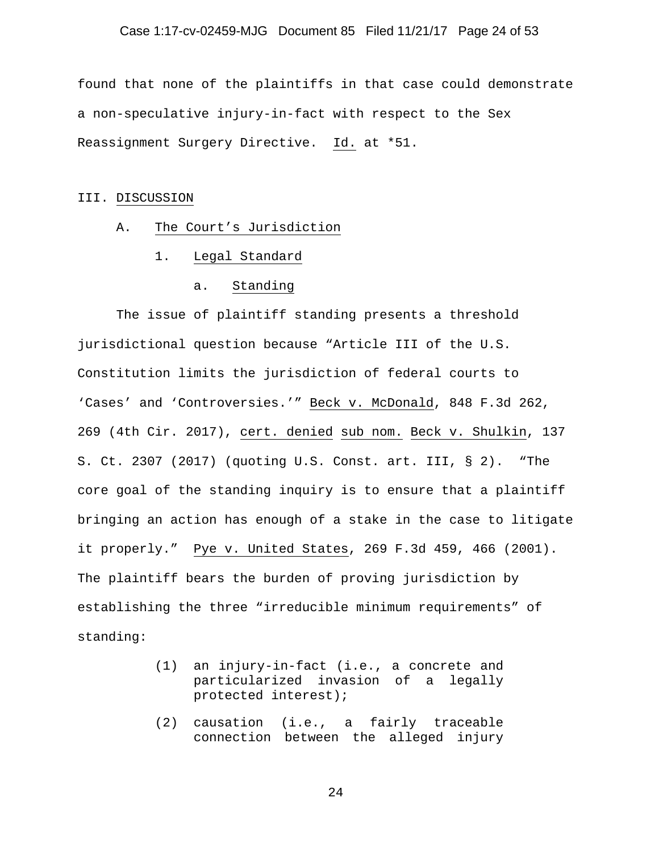#### Case 1:17-cv-02459-MJG Document 85 Filed 11/21/17 Page 24 of 53

found that none of the plaintiffs in that case could demonstrate a non-speculative injury-in-fact with respect to the Sex Reassignment Surgery Directive. Id. at \*51.

#### III. DISCUSSION

- A. The Court's Jurisdiction
	- 1. Legal Standard
		- a. Standing

The issue of plaintiff standing presents a threshold jurisdictional question because "Article III of the U.S. Constitution limits the jurisdiction of federal courts to 'Cases' and 'Controversies.'" Beck v. McDonald, 848 F.3d 262, 269 (4th Cir. 2017), cert. denied sub nom. Beck v. Shulkin, 137 S. Ct. 2307 (2017) (quoting U.S. Const. art. III, § 2). "The core goal of the standing inquiry is to ensure that a plaintiff bringing an action has enough of a stake in the case to litigate it properly." Pye v. United States, 269 F.3d 459, 466 (2001). The plaintiff bears the burden of proving jurisdiction by establishing the three "irreducible minimum requirements" of standing:

- (1) an injury-in-fact (i.e., a concrete and particularized invasion of a legally protected interest);
- (2) causation (i.e., a fairly traceable connection between the alleged injury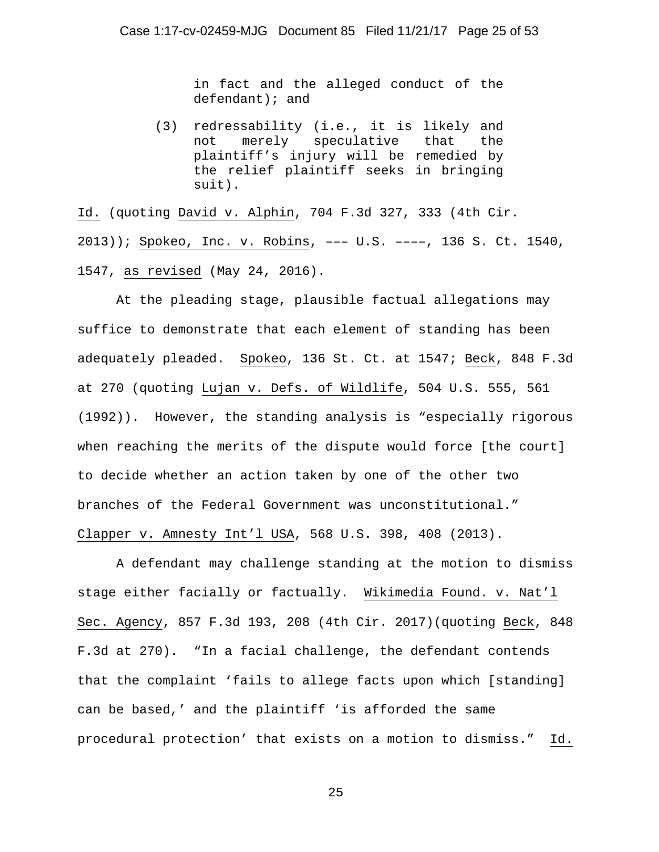in fact and the alleged conduct of the defendant); and

(3) redressability (i.e., it is likely and not merely speculative that the plaintiff's injury will be remedied by the relief plaintiff seeks in bringing suit).

Id. (quoting David v. Alphin, 704 F.3d 327, 333 (4th Cir. 2013)); Spokeo, Inc. v. Robins, ––– U.S. ––––, 136 S. Ct. 1540, 1547, as revised (May 24, 2016).

At the pleading stage, plausible factual allegations may suffice to demonstrate that each element of standing has been adequately pleaded. Spokeo, 136 St. Ct. at 1547; Beck, 848 F.3d at 270 (quoting Lujan v. Defs. of Wildlife, 504 U.S. 555, 561 (1992)). However, the standing analysis is "especially rigorous when reaching the merits of the dispute would force [the court] to decide whether an action taken by one of the other two branches of the Federal Government was unconstitutional." Clapper v. Amnesty Int'l USA, 568 U.S. 398, 408 (2013).

A defendant may challenge standing at the motion to dismiss stage either facially or factually. Wikimedia Found. v. Nat'l Sec. Agency, 857 F.3d 193, 208 (4th Cir. 2017)(quoting Beck, 848 F.3d at 270). "In a facial challenge, the defendant contends that the complaint 'fails to allege facts upon which [standing] can be based,' and the plaintiff 'is afforded the same procedural protection' that exists on a motion to dismiss." Id.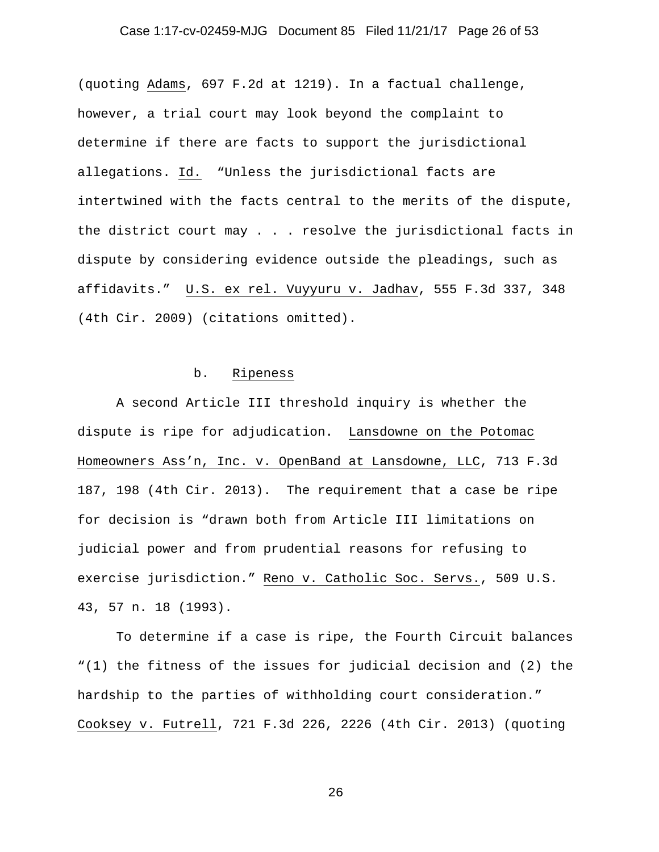# Case 1:17-cv-02459-MJG Document 85 Filed 11/21/17 Page 26 of 53

(quoting Adams, 697 F.2d at 1219). In a factual challenge, however, a trial court may look beyond the complaint to determine if there are facts to support the jurisdictional allegations. Id. "Unless the jurisdictional facts are intertwined with the facts central to the merits of the dispute, the district court may . . . resolve the jurisdictional facts in dispute by considering evidence outside the pleadings, such as affidavits." U.S. ex rel. Vuyyuru v. Jadhav, 555 F.3d 337, 348 (4th Cir. 2009) (citations omitted).

#### b. Ripeness

A second Article III threshold inquiry is whether the dispute is ripe for adjudication. Lansdowne on the Potomac Homeowners Ass'n, Inc. v. OpenBand at Lansdowne, LLC, 713 F.3d 187, 198 (4th Cir. 2013). The requirement that a case be ripe for decision is "drawn both from Article III limitations on judicial power and from prudential reasons for refusing to exercise jurisdiction." Reno v. Catholic Soc. Servs., 509 U.S. 43, 57 n. 18 (1993).

To determine if a case is ripe, the Fourth Circuit balances "(1) the fitness of the issues for judicial decision and (2) the hardship to the parties of withholding court consideration." Cooksey v. Futrell, 721 F.3d 226, 2226 (4th Cir. 2013) (quoting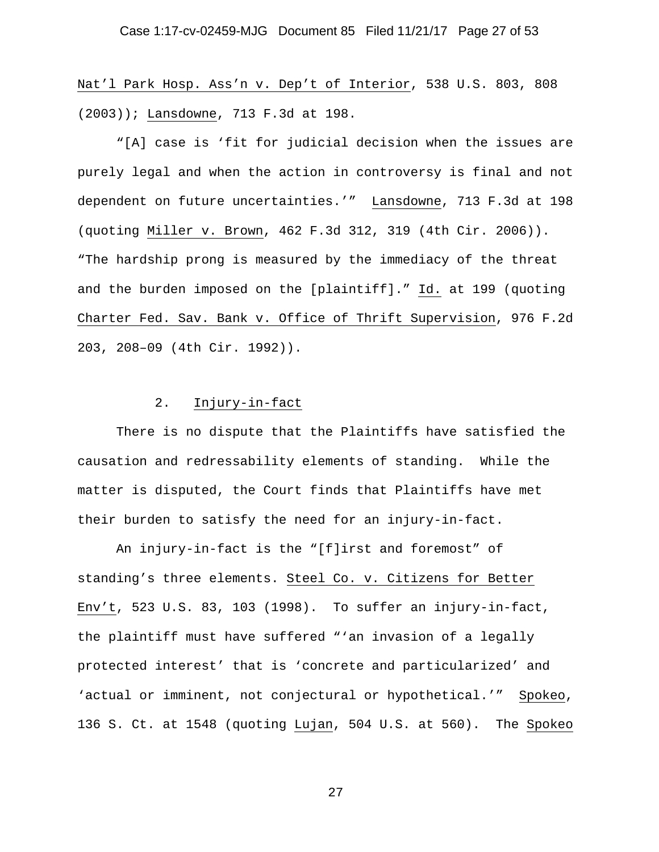Nat'l Park Hosp. Ass'n v. Dep't of Interior, 538 U.S. 803, 808 (2003)); Lansdowne, 713 F.3d at 198.

"[A] case is 'fit for judicial decision when the issues are purely legal and when the action in controversy is final and not dependent on future uncertainties.'" Lansdowne, 713 F.3d at 198 (quoting Miller v. Brown, 462 F.3d 312, 319 (4th Cir. 2006)). "The hardship prong is measured by the immediacy of the threat and the burden imposed on the [plaintiff]." Id. at 199 (quoting Charter Fed. Sav. Bank v. Office of Thrift Supervision, 976 F.2d 203, 208–09 (4th Cir. 1992)).

## 2. Injury-in-fact

There is no dispute that the Plaintiffs have satisfied the causation and redressability elements of standing. While the matter is disputed, the Court finds that Plaintiffs have met their burden to satisfy the need for an injury-in-fact.

An injury-in-fact is the "[f]irst and foremost" of standing's three elements. Steel Co. v. Citizens for Better Env't, 523 U.S. 83, 103 (1998). To suffer an injury-in-fact, the plaintiff must have suffered "'an invasion of a legally protected interest' that is 'concrete and particularized' and 'actual or imminent, not conjectural or hypothetical.'" Spokeo, 136 S. Ct. at 1548 (quoting Lujan, 504 U.S. at 560). The Spokeo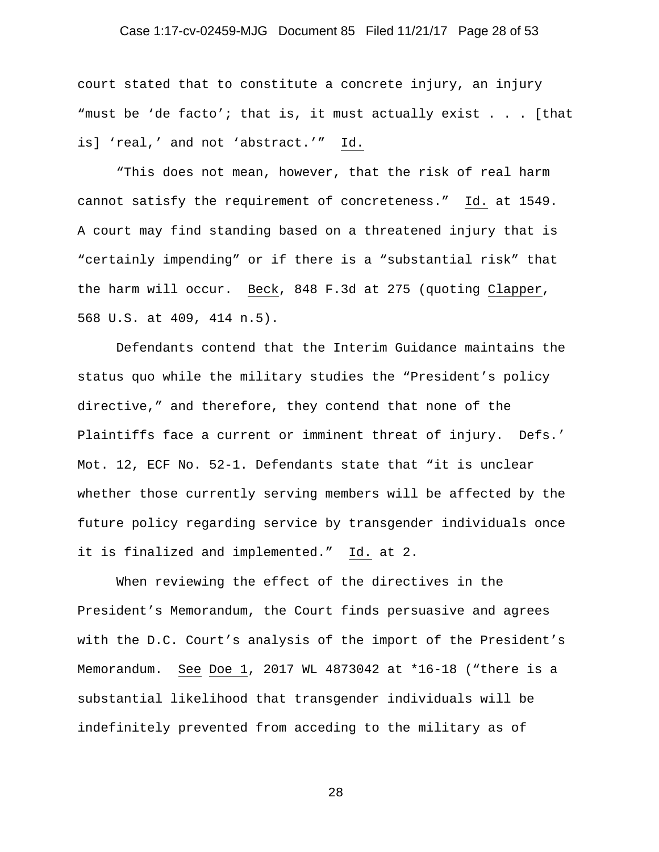#### Case 1:17-cv-02459-MJG Document 85 Filed 11/21/17 Page 28 of 53

court stated that to constitute a concrete injury, an injury "must be 'de facto'; that is, it must actually exist . . . [that is] 'real,' and not 'abstract.'" Id.

"This does not mean, however, that the risk of real harm cannot satisfy the requirement of concreteness." Id. at 1549. A court may find standing based on a threatened injury that is "certainly impending" or if there is a "substantial risk" that the harm will occur. Beck, 848 F.3d at 275 (quoting Clapper, 568 U.S. at 409, 414 n.5).

Defendants contend that the Interim Guidance maintains the status quo while the military studies the "President's policy directive," and therefore, they contend that none of the Plaintiffs face a current or imminent threat of injury. Defs.' Mot. 12, ECF No. 52-1. Defendants state that "it is unclear whether those currently serving members will be affected by the future policy regarding service by transgender individuals once it is finalized and implemented." Id. at 2.

When reviewing the effect of the directives in the President's Memorandum, the Court finds persuasive and agrees with the D.C. Court's analysis of the import of the President's Memorandum. See Doe 1, 2017 WL 4873042 at \*16-18 ("there is a substantial likelihood that transgender individuals will be indefinitely prevented from acceding to the military as of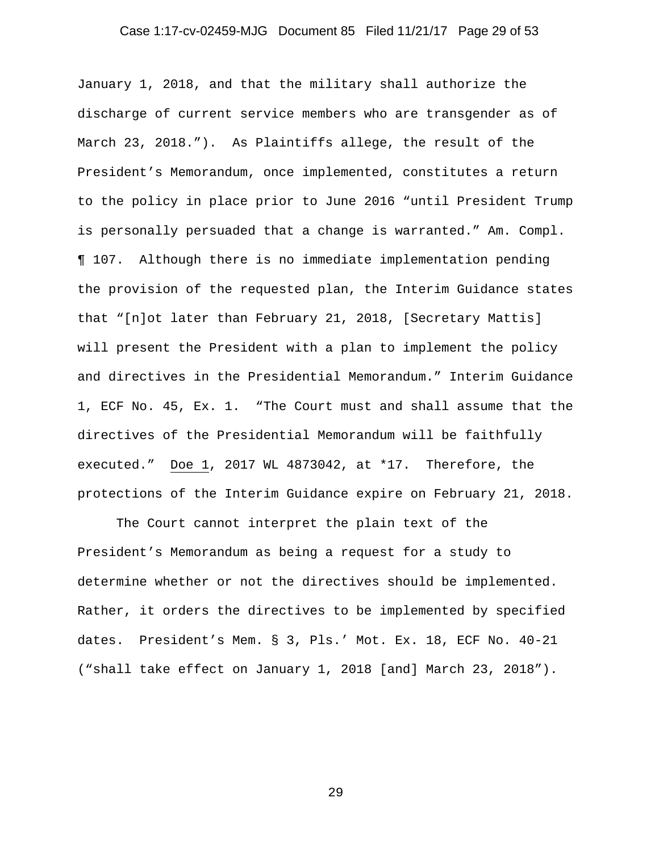# Case 1:17-cv-02459-MJG Document 85 Filed 11/21/17 Page 29 of 53

January 1, 2018, and that the military shall authorize the discharge of current service members who are transgender as of March 23, 2018."). As Plaintiffs allege, the result of the President's Memorandum, once implemented, constitutes a return to the policy in place prior to June 2016 "until President Trump is personally persuaded that a change is warranted." Am. Compl. ¶ 107. Although there is no immediate implementation pending the provision of the requested plan, the Interim Guidance states that "[n]ot later than February 21, 2018, [Secretary Mattis] will present the President with a plan to implement the policy and directives in the Presidential Memorandum." Interim Guidance 1, ECF No. 45, Ex. 1. "The Court must and shall assume that the directives of the Presidential Memorandum will be faithfully executed." Doe 1, 2017 WL 4873042, at \*17. Therefore, the protections of the Interim Guidance expire on February 21, 2018.

The Court cannot interpret the plain text of the President's Memorandum as being a request for a study to determine whether or not the directives should be implemented. Rather, it orders the directives to be implemented by specified dates. President's Mem. § 3, Pls.' Mot. Ex. 18, ECF No. 40-21 ("shall take effect on January 1, 2018 [and] March 23, 2018").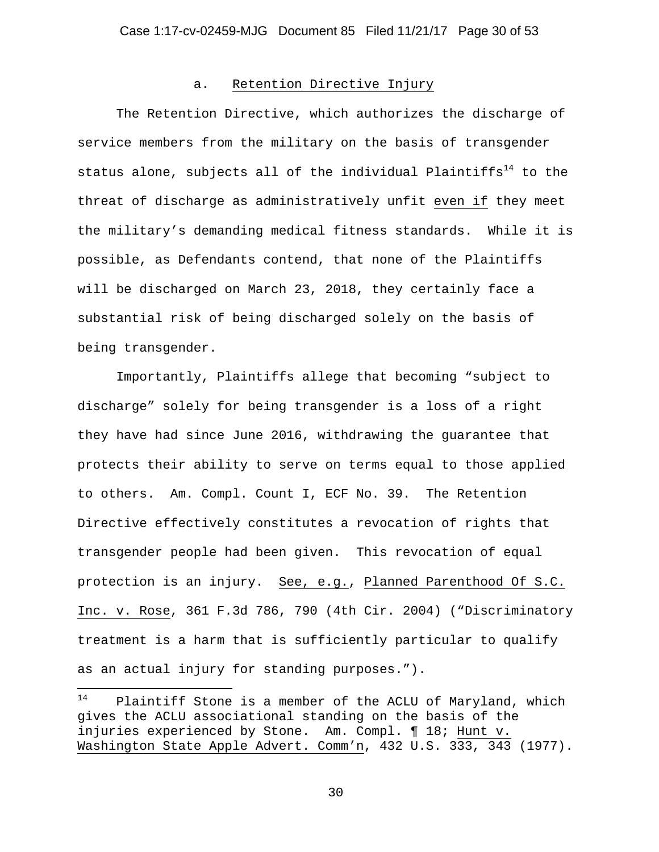#### a. Retention Directive Injury

The Retention Directive, which authorizes the discharge of service members from the military on the basis of transgender status alone, subjects all of the individual Plaintiffs<sup>14</sup> to the threat of discharge as administratively unfit even if they meet the military's demanding medical fitness standards. While it is possible, as Defendants contend, that none of the Plaintiffs will be discharged on March 23, 2018, they certainly face a substantial risk of being discharged solely on the basis of being transgender.

Importantly, Plaintiffs allege that becoming "subject to discharge" solely for being transgender is a loss of a right they have had since June 2016, withdrawing the guarantee that protects their ability to serve on terms equal to those applied to others. Am. Compl. Count I, ECF No. 39. The Retention Directive effectively constitutes a revocation of rights that transgender people had been given. This revocation of equal protection is an injury. See, e.g., Planned Parenthood Of S.C. Inc. v. Rose, 361 F.3d 786, 790 (4th Cir. 2004) ("Discriminatory treatment is a harm that is sufficiently particular to qualify as an actual injury for standing purposes.").

<sup>14</sup> Plaintiff Stone is a member of the ACLU of Maryland, which gives the ACLU associational standing on the basis of the injuries experienced by Stone. Am. Compl. ¶ 18; Hunt v. Washington State Apple Advert. Comm'n, 432 U.S. 333, 343 (1977).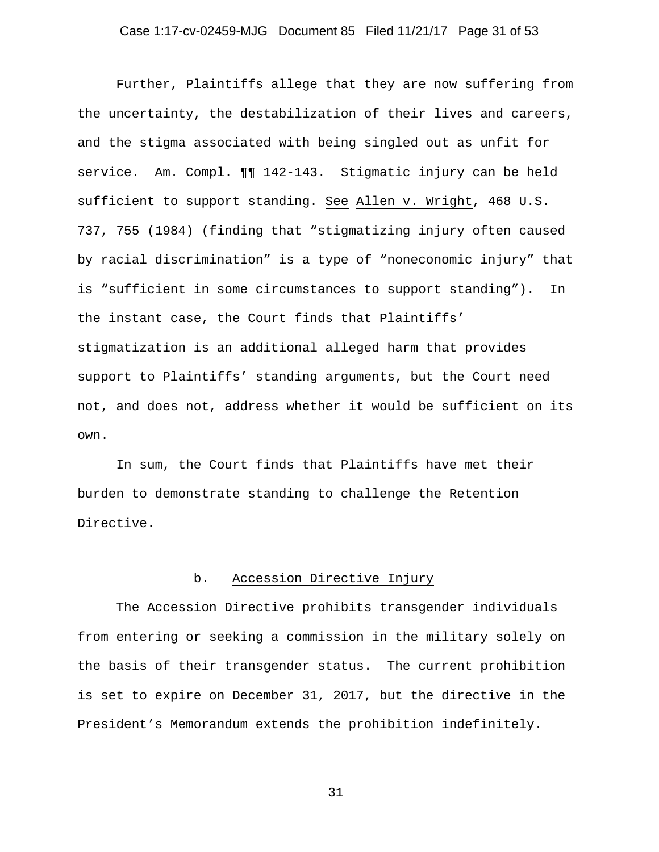### Case 1:17-cv-02459-MJG Document 85 Filed 11/21/17 Page 31 of 53

Further, Plaintiffs allege that they are now suffering from the uncertainty, the destabilization of their lives and careers, and the stigma associated with being singled out as unfit for service. Am. Compl. ¶¶ 142-143. Stigmatic injury can be held sufficient to support standing. See Allen v. Wright, 468 U.S. 737, 755 (1984) (finding that "stigmatizing injury often caused by racial discrimination" is a type of "noneconomic injury" that is "sufficient in some circumstances to support standing"). In the instant case, the Court finds that Plaintiffs' stigmatization is an additional alleged harm that provides support to Plaintiffs' standing arguments, but the Court need not, and does not, address whether it would be sufficient on its own.

In sum, the Court finds that Plaintiffs have met their burden to demonstrate standing to challenge the Retention Directive.

# b. Accession Directive Injury

The Accession Directive prohibits transgender individuals from entering or seeking a commission in the military solely on the basis of their transgender status. The current prohibition is set to expire on December 31, 2017, but the directive in the President's Memorandum extends the prohibition indefinitely.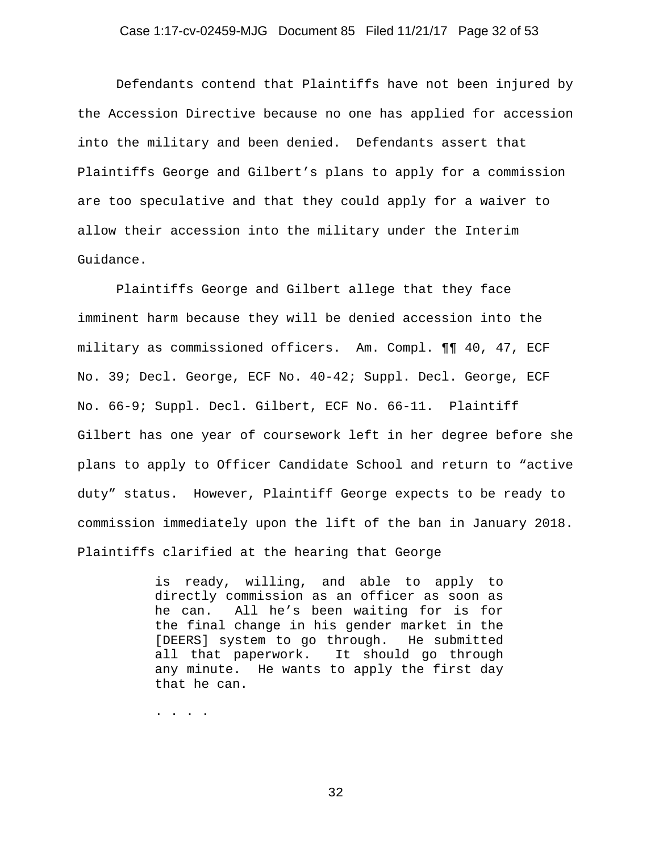#### Case 1:17-cv-02459-MJG Document 85 Filed 11/21/17 Page 32 of 53

Defendants contend that Plaintiffs have not been injured by the Accession Directive because no one has applied for accession into the military and been denied. Defendants assert that Plaintiffs George and Gilbert's plans to apply for a commission are too speculative and that they could apply for a waiver to allow their accession into the military under the Interim Guidance.

Plaintiffs George and Gilbert allege that they face imminent harm because they will be denied accession into the military as commissioned officers. Am. Compl. ¶¶ 40, 47, ECF No. 39; Decl. George, ECF No. 40-42; Suppl. Decl. George, ECF No. 66-9; Suppl. Decl. Gilbert, ECF No. 66-11. Plaintiff Gilbert has one year of coursework left in her degree before she plans to apply to Officer Candidate School and return to "active duty" status. However, Plaintiff George expects to be ready to commission immediately upon the lift of the ban in January 2018. Plaintiffs clarified at the hearing that George

> is ready, willing, and able to apply to directly commission as an officer as soon as he can. All he's been waiting for is for the final change in his gender market in the [DEERS] system to go through. He submitted all that paperwork. It should go through any minute. He wants to apply the first day that he can.

. . . .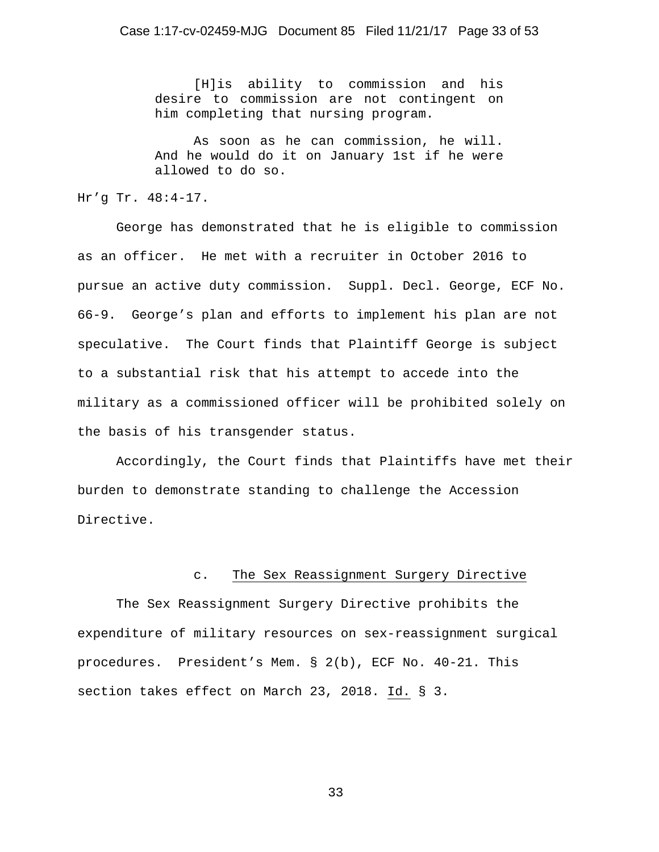[H]is ability to commission and his desire to commission are not contingent on him completing that nursing program.

 As soon as he can commission, he will. And he would do it on January 1st if he were allowed to do so.

Hr'g Tr. 48:4-17.

George has demonstrated that he is eligible to commission as an officer. He met with a recruiter in October 2016 to pursue an active duty commission. Suppl. Decl. George, ECF No. 66-9. George's plan and efforts to implement his plan are not speculative. The Court finds that Plaintiff George is subject to a substantial risk that his attempt to accede into the military as a commissioned officer will be prohibited solely on the basis of his transgender status.

Accordingly, the Court finds that Plaintiffs have met their burden to demonstrate standing to challenge the Accession Directive.

# c. The Sex Reassignment Surgery Directive

The Sex Reassignment Surgery Directive prohibits the expenditure of military resources on sex-reassignment surgical procedures. President's Mem. § 2(b), ECF No. 40-21. This section takes effect on March 23, 2018. Id. § 3.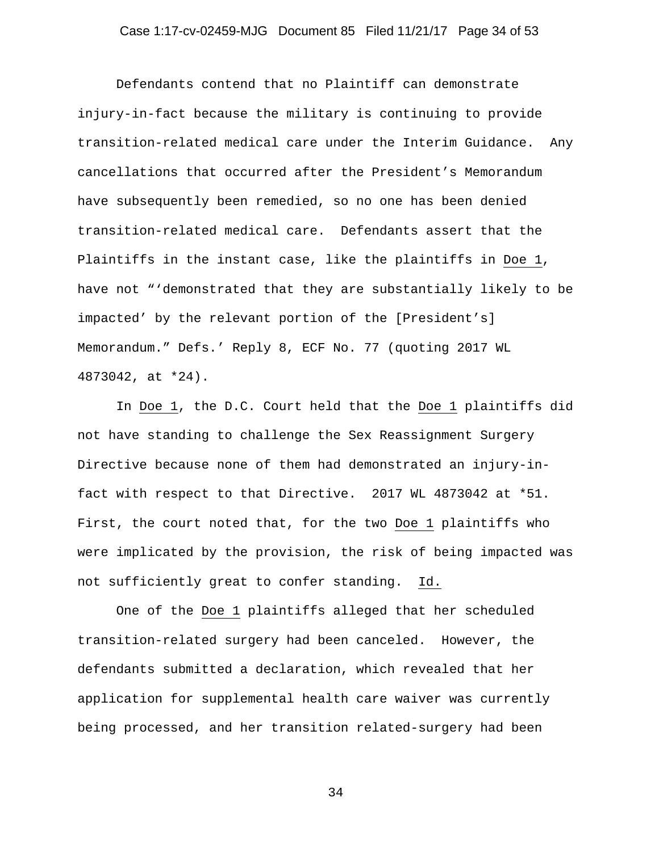# Case 1:17-cv-02459-MJG Document 85 Filed 11/21/17 Page 34 of 53

Defendants contend that no Plaintiff can demonstrate injury-in-fact because the military is continuing to provide transition-related medical care under the Interim Guidance. Any cancellations that occurred after the President's Memorandum have subsequently been remedied, so no one has been denied transition-related medical care. Defendants assert that the Plaintiffs in the instant case, like the plaintiffs in Doe 1, have not "'demonstrated that they are substantially likely to be impacted' by the relevant portion of the [President's] Memorandum." Defs.' Reply 8, ECF No. 77 (quoting 2017 WL 4873042, at \*24).

In Doe 1, the D.C. Court held that the Doe 1 plaintiffs did not have standing to challenge the Sex Reassignment Surgery Directive because none of them had demonstrated an injury-infact with respect to that Directive. 2017 WL 4873042 at \*51. First, the court noted that, for the two Doe 1 plaintiffs who were implicated by the provision, the risk of being impacted was not sufficiently great to confer standing. Id.

One of the Doe 1 plaintiffs alleged that her scheduled transition-related surgery had been canceled. However, the defendants submitted a declaration, which revealed that her application for supplemental health care waiver was currently being processed, and her transition related-surgery had been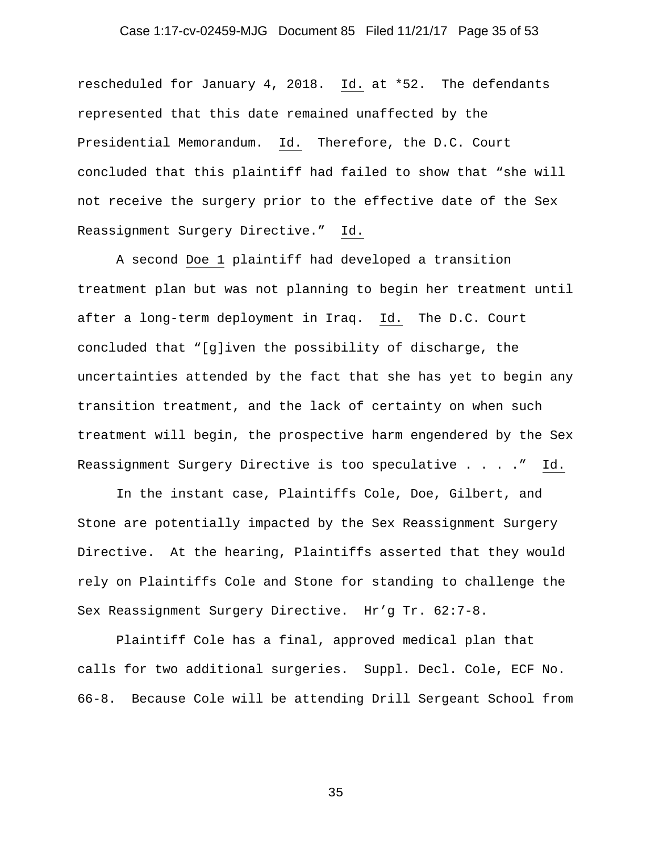#### Case 1:17-cv-02459-MJG Document 85 Filed 11/21/17 Page 35 of 53

rescheduled for January 4, 2018. Id. at \*52. The defendants represented that this date remained unaffected by the Presidential Memorandum. Id. Therefore, the D.C. Court concluded that this plaintiff had failed to show that "she will not receive the surgery prior to the effective date of the Sex Reassignment Surgery Directive." Id.

A second Doe 1 plaintiff had developed a transition treatment plan but was not planning to begin her treatment until after a long-term deployment in Iraq. Id. The D.C. Court concluded that "[g]iven the possibility of discharge, the uncertainties attended by the fact that she has yet to begin any transition treatment, and the lack of certainty on when such treatment will begin, the prospective harm engendered by the Sex Reassignment Surgery Directive is too speculative . . . ." Id.

In the instant case, Plaintiffs Cole, Doe, Gilbert, and Stone are potentially impacted by the Sex Reassignment Surgery Directive. At the hearing, Plaintiffs asserted that they would rely on Plaintiffs Cole and Stone for standing to challenge the Sex Reassignment Surgery Directive. Hr'g Tr. 62:7-8.

Plaintiff Cole has a final, approved medical plan that calls for two additional surgeries. Suppl. Decl. Cole, ECF No. 66-8. Because Cole will be attending Drill Sergeant School from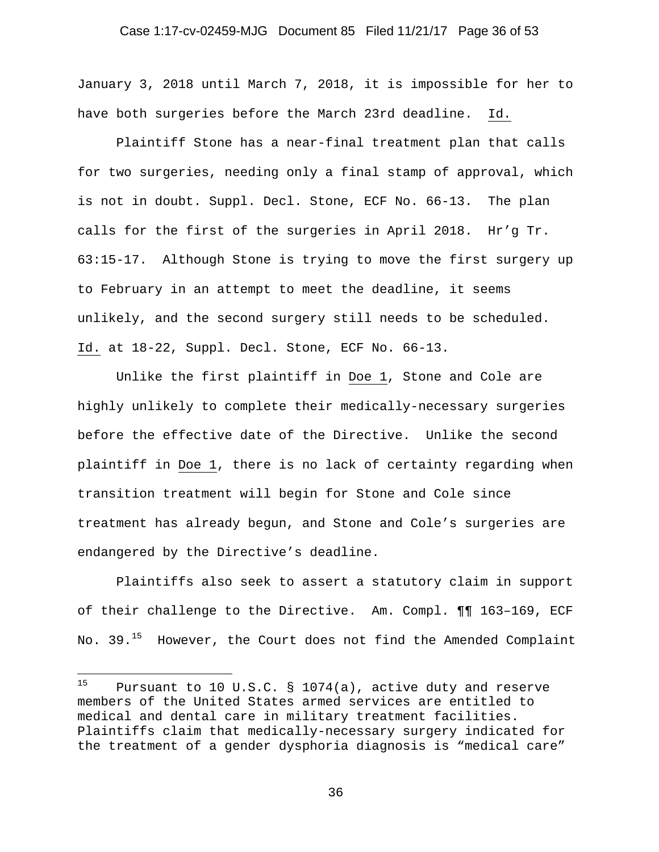### Case 1:17-cv-02459-MJG Document 85 Filed 11/21/17 Page 36 of 53

January 3, 2018 until March 7, 2018, it is impossible for her to have both surgeries before the March 23rd deadline. Id.

Plaintiff Stone has a near-final treatment plan that calls for two surgeries, needing only a final stamp of approval, which is not in doubt. Suppl. Decl. Stone, ECF No. 66-13. The plan calls for the first of the surgeries in April 2018. Hr'g Tr. 63:15-17. Although Stone is trying to move the first surgery up to February in an attempt to meet the deadline, it seems unlikely, and the second surgery still needs to be scheduled. Id. at 18-22, Suppl. Decl. Stone, ECF No. 66-13.

Unlike the first plaintiff in Doe 1, Stone and Cole are highly unlikely to complete their medically-necessary surgeries before the effective date of the Directive. Unlike the second plaintiff in Doe 1, there is no lack of certainty regarding when transition treatment will begin for Stone and Cole since treatment has already begun, and Stone and Cole's surgeries are endangered by the Directive's deadline.

Plaintiffs also seek to assert a statutory claim in support of their challenge to the Directive. Am. Compl. ¶¶ 163–169, ECF No. 39.<sup>15</sup> However, the Court does not find the Amended Complaint

 $15$ Pursuant to 10 U.S.C.  $\S$  1074(a), active duty and reserve members of the United States armed services are entitled to medical and dental care in military treatment facilities. Plaintiffs claim that medically-necessary surgery indicated for the treatment of a gender dysphoria diagnosis is "medical care"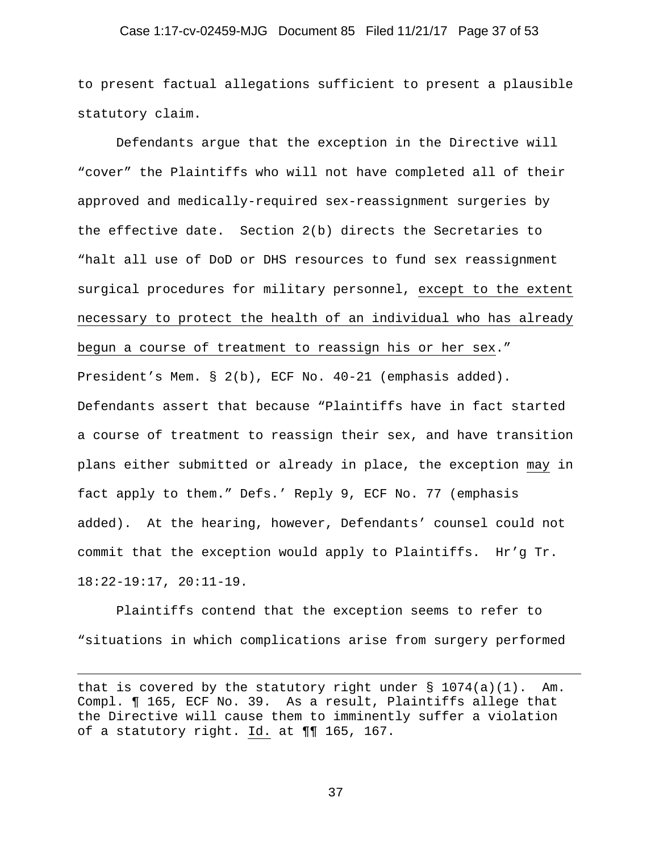#### Case 1:17-cv-02459-MJG Document 85 Filed 11/21/17 Page 37 of 53

to present factual allegations sufficient to present a plausible statutory claim.

Defendants argue that the exception in the Directive will "cover" the Plaintiffs who will not have completed all of their approved and medically-required sex-reassignment surgeries by the effective date. Section 2(b) directs the Secretaries to "halt all use of DoD or DHS resources to fund sex reassignment surgical procedures for military personnel, except to the extent necessary to protect the health of an individual who has already begun a course of treatment to reassign his or her sex." President's Mem. § 2(b), ECF No. 40-21 (emphasis added). Defendants assert that because "Plaintiffs have in fact started a course of treatment to reassign their sex, and have transition plans either submitted or already in place, the exception may in fact apply to them." Defs.' Reply 9, ECF No. 77 (emphasis added). At the hearing, however, Defendants' counsel could not commit that the exception would apply to Plaintiffs. Hr'g Tr. 18:22-19:17, 20:11-19.

Plaintiffs contend that the exception seems to refer to "situations in which complications arise from surgery performed

i<br>Li

that is covered by the statutory right under  $\S$  1074(a)(1). Am. Compl. ¶ 165, ECF No. 39. As a result, Plaintiffs allege that the Directive will cause them to imminently suffer a violation of a statutory right. Id. at ¶¶ 165, 167.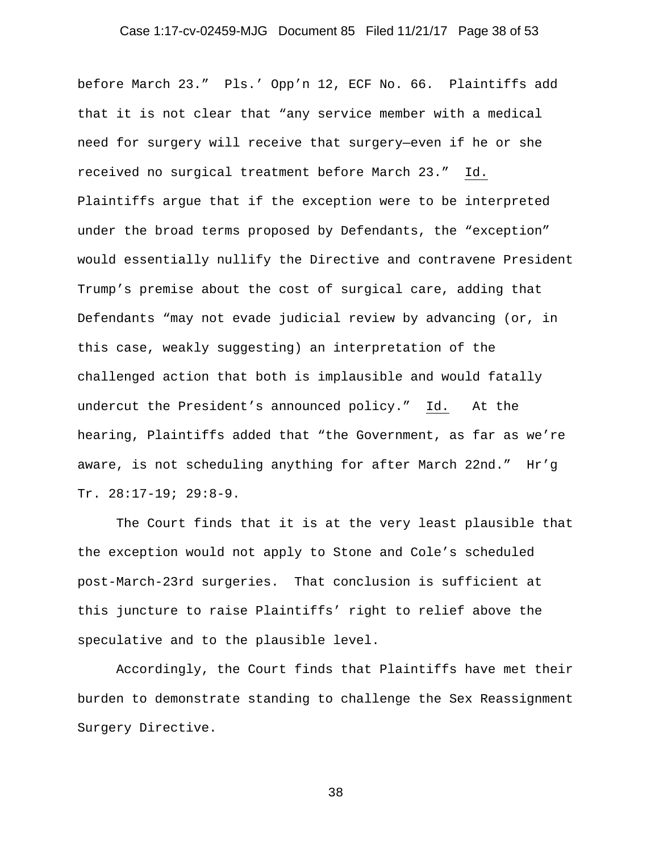# Case 1:17-cv-02459-MJG Document 85 Filed 11/21/17 Page 38 of 53

before March 23." Pls.' Opp'n 12, ECF No. 66. Plaintiffs add that it is not clear that "any service member with a medical need for surgery will receive that surgery—even if he or she received no surgical treatment before March 23." Id. Plaintiffs argue that if the exception were to be interpreted under the broad terms proposed by Defendants, the "exception" would essentially nullify the Directive and contravene President Trump's premise about the cost of surgical care, adding that Defendants "may not evade judicial review by advancing (or, in this case, weakly suggesting) an interpretation of the challenged action that both is implausible and would fatally undercut the President's announced policy." Id. At the hearing, Plaintiffs added that "the Government, as far as we're aware, is not scheduling anything for after March 22nd." Hr'g Tr. 28:17-19; 29:8-9.

The Court finds that it is at the very least plausible that the exception would not apply to Stone and Cole's scheduled post-March-23rd surgeries. That conclusion is sufficient at this juncture to raise Plaintiffs' right to relief above the speculative and to the plausible level.

Accordingly, the Court finds that Plaintiffs have met their burden to demonstrate standing to challenge the Sex Reassignment Surgery Directive.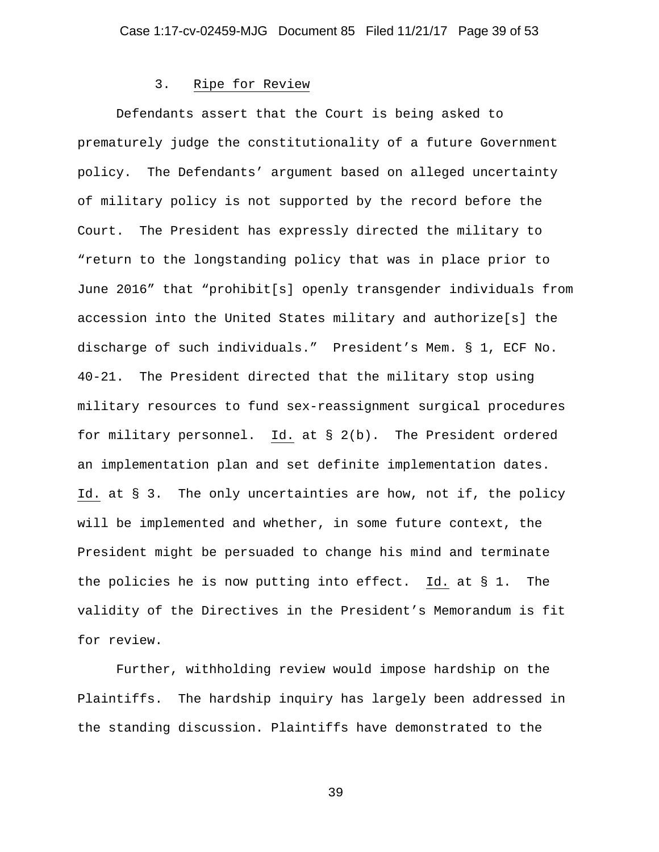#### 3. Ripe for Review

Defendants assert that the Court is being asked to prematurely judge the constitutionality of a future Government policy. The Defendants' argument based on alleged uncertainty of military policy is not supported by the record before the Court. The President has expressly directed the military to "return to the longstanding policy that was in place prior to June 2016" that "prohibit[s] openly transgender individuals from accession into the United States military and authorize[s] the discharge of such individuals." President's Mem. § 1, ECF No. 40-21. The President directed that the military stop using military resources to fund sex-reassignment surgical procedures for military personnel. Id. at § 2(b). The President ordered an implementation plan and set definite implementation dates. Id. at § 3. The only uncertainties are how, not if, the policy will be implemented and whether, in some future context, the President might be persuaded to change his mind and terminate the policies he is now putting into effect. Id. at § 1. The validity of the Directives in the President's Memorandum is fit for review.

Further, withholding review would impose hardship on the Plaintiffs. The hardship inquiry has largely been addressed in the standing discussion. Plaintiffs have demonstrated to the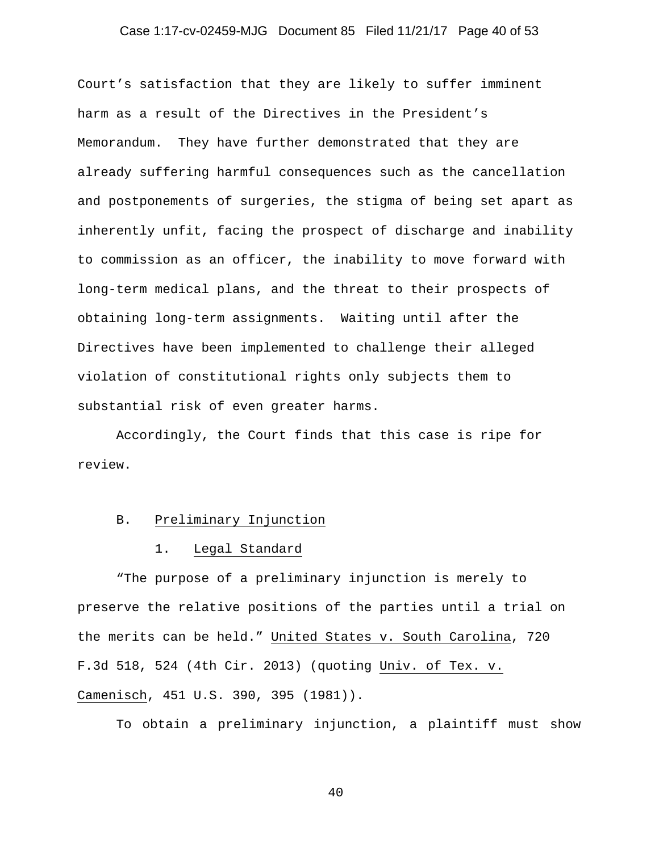#### Case 1:17-cv-02459-MJG Document 85 Filed 11/21/17 Page 40 of 53

Court's satisfaction that they are likely to suffer imminent harm as a result of the Directives in the President's Memorandum. They have further demonstrated that they are already suffering harmful consequences such as the cancellation and postponements of surgeries, the stigma of being set apart as inherently unfit, facing the prospect of discharge and inability to commission as an officer, the inability to move forward with long-term medical plans, and the threat to their prospects of obtaining long-term assignments. Waiting until after the Directives have been implemented to challenge their alleged violation of constitutional rights only subjects them to substantial risk of even greater harms.

Accordingly, the Court finds that this case is ripe for review.

#### B. Preliminary Injunction

#### 1. Legal Standard

"The purpose of a preliminary injunction is merely to preserve the relative positions of the parties until a trial on the merits can be held." United States v. South Carolina, 720 F.3d 518, 524 (4th Cir. 2013) (quoting Univ. of Tex. v. Camenisch, 451 U.S. 390, 395 (1981)).

To obtain a preliminary injunction, a plaintiff must show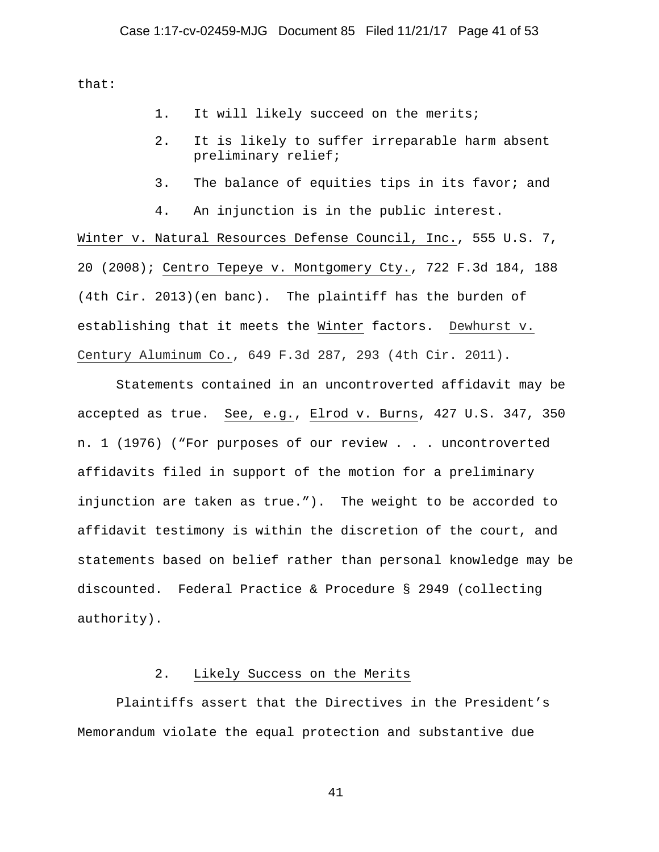that:

- 1. It will likely succeed on the merits;
- 2. It is likely to suffer irreparable harm absent preliminary relief;
- 3. The balance of equities tips in its favor; and

4. An injunction is in the public interest. Winter v. Natural Resources Defense Council, Inc., 555 U.S. 7, 20 (2008); Centro Tepeye v. Montgomery Cty., 722 F.3d 184, 188 (4th Cir. 2013)(en banc). The plaintiff has the burden of establishing that it meets the Winter factors. Dewhurst v. Century Aluminum Co., 649 F.3d 287, 293 (4th Cir. 2011).

Statements contained in an uncontroverted affidavit may be accepted as true. See, e.g., Elrod v. Burns, 427 U.S. 347, 350 n. 1 (1976) ("For purposes of our review . . . uncontroverted affidavits filed in support of the motion for a preliminary injunction are taken as true."). The weight to be accorded to affidavit testimony is within the discretion of the court, and statements based on belief rather than personal knowledge may be discounted. Federal Practice & Procedure § 2949 (collecting authority).

### 2. Likely Success on the Merits

Plaintiffs assert that the Directives in the President's Memorandum violate the equal protection and substantive due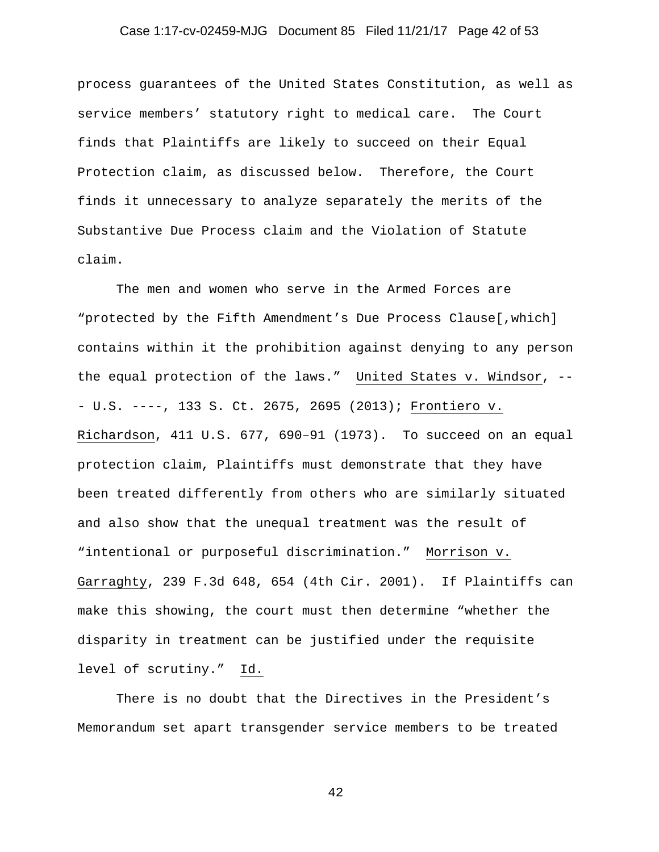# Case 1:17-cv-02459-MJG Document 85 Filed 11/21/17 Page 42 of 53

process guarantees of the United States Constitution, as well as service members' statutory right to medical care. The Court finds that Plaintiffs are likely to succeed on their Equal Protection claim, as discussed below. Therefore, the Court finds it unnecessary to analyze separately the merits of the Substantive Due Process claim and the Violation of Statute claim.

The men and women who serve in the Armed Forces are "protected by the Fifth Amendment's Due Process Clause[,which] contains within it the prohibition against denying to any person the equal protection of the laws." United States v. Windsor, -- - U.S. ----, 133 S. Ct. 2675, 2695 (2013); Frontiero v. Richardson, 411 U.S. 677, 690–91 (1973). To succeed on an equal protection claim, Plaintiffs must demonstrate that they have been treated differently from others who are similarly situated and also show that the unequal treatment was the result of "intentional or purposeful discrimination." Morrison v. Garraghty, 239 F.3d 648, 654 (4th Cir. 2001). If Plaintiffs can make this showing, the court must then determine "whether the disparity in treatment can be justified under the requisite level of scrutiny." Id.

There is no doubt that the Directives in the President's Memorandum set apart transgender service members to be treated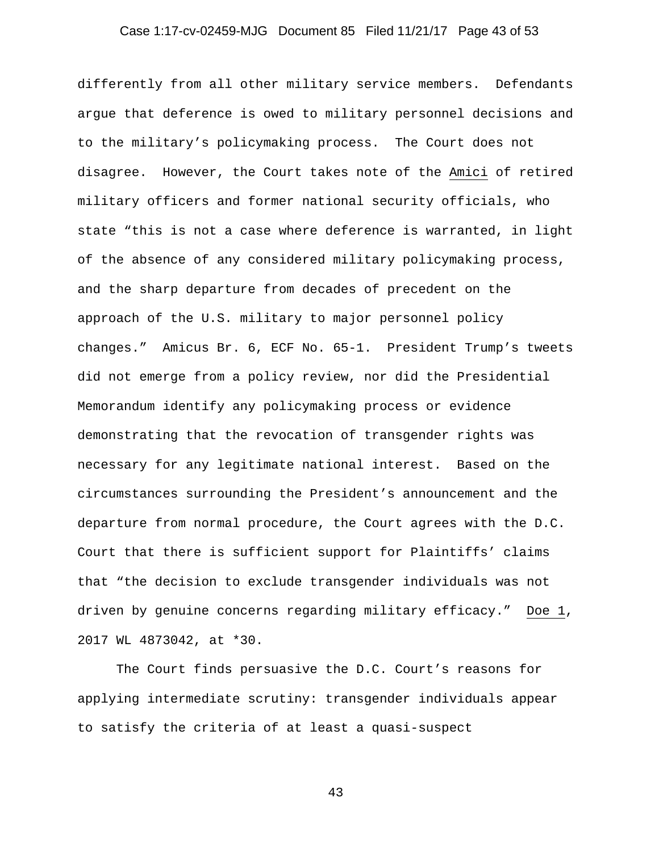#### Case 1:17-cv-02459-MJG Document 85 Filed 11/21/17 Page 43 of 53

differently from all other military service members. Defendants argue that deference is owed to military personnel decisions and to the military's policymaking process. The Court does not disagree. However, the Court takes note of the Amici of retired military officers and former national security officials, who state "this is not a case where deference is warranted, in light of the absence of any considered military policymaking process, and the sharp departure from decades of precedent on the approach of the U.S. military to major personnel policy changes." Amicus Br. 6, ECF No. 65-1. President Trump's tweets did not emerge from a policy review, nor did the Presidential Memorandum identify any policymaking process or evidence demonstrating that the revocation of transgender rights was necessary for any legitimate national interest. Based on the circumstances surrounding the President's announcement and the departure from normal procedure, the Court agrees with the D.C. Court that there is sufficient support for Plaintiffs' claims that "the decision to exclude transgender individuals was not driven by genuine concerns regarding military efficacy." Doe 1, 2017 WL 4873042, at \*30.

The Court finds persuasive the D.C. Court's reasons for applying intermediate scrutiny: transgender individuals appear to satisfy the criteria of at least a quasi-suspect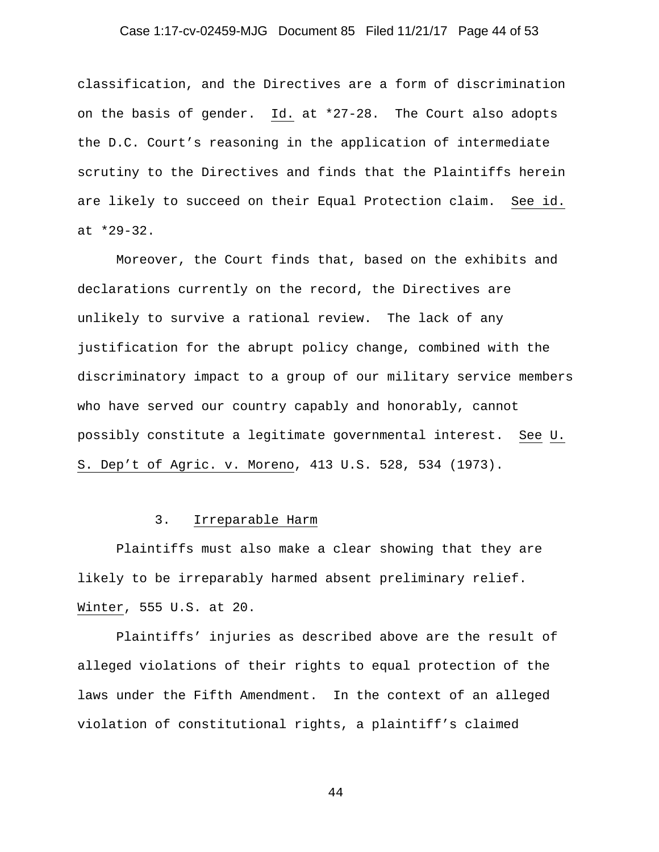#### Case 1:17-cv-02459-MJG Document 85 Filed 11/21/17 Page 44 of 53

classification, and the Directives are a form of discrimination on the basis of gender. Id. at \*27-28. The Court also adopts the D.C. Court's reasoning in the application of intermediate scrutiny to the Directives and finds that the Plaintiffs herein are likely to succeed on their Equal Protection claim. See id. at \*29-32.

Moreover, the Court finds that, based on the exhibits and declarations currently on the record, the Directives are unlikely to survive a rational review. The lack of any justification for the abrupt policy change, combined with the discriminatory impact to a group of our military service members who have served our country capably and honorably, cannot possibly constitute a legitimate governmental interest. See U. S. Dep't of Agric. v. Moreno, 413 U.S. 528, 534 (1973).

#### 3. Irreparable Harm

Plaintiffs must also make a clear showing that they are likely to be irreparably harmed absent preliminary relief. Winter, 555 U.S. at 20.

Plaintiffs' injuries as described above are the result of alleged violations of their rights to equal protection of the laws under the Fifth Amendment. In the context of an alleged violation of constitutional rights, a plaintiff's claimed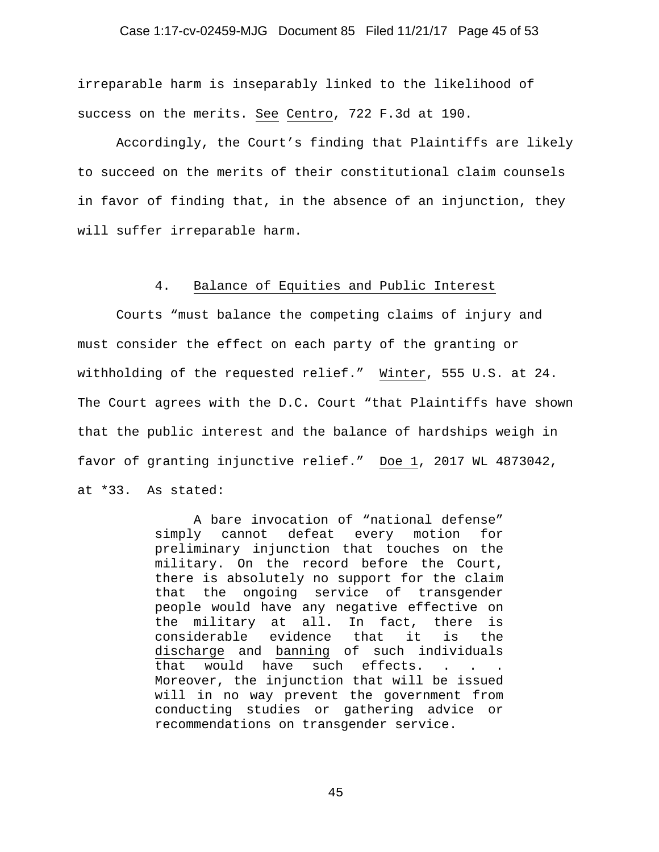#### Case 1:17-cv-02459-MJG Document 85 Filed 11/21/17 Page 45 of 53

irreparable harm is inseparably linked to the likelihood of success on the merits. See Centro, 722 F.3d at 190.

Accordingly, the Court's finding that Plaintiffs are likely to succeed on the merits of their constitutional claim counsels in favor of finding that, in the absence of an injunction, they will suffer irreparable harm.

#### 4. Balance of Equities and Public Interest

Courts "must balance the competing claims of injury and must consider the effect on each party of the granting or withholding of the requested relief." Winter, 555 U.S. at 24. The Court agrees with the D.C. Court "that Plaintiffs have shown that the public interest and the balance of hardships weigh in favor of granting injunctive relief." Doe 1, 2017 WL 4873042, at \*33. As stated:

> A bare invocation of "national defense" simply cannot defeat every motion for preliminary injunction that touches on the military. On the record before the Court, there is absolutely no support for the claim that the ongoing service of transgender people would have any negative effective on the military at all. In fact, there is considerable evidence that it is the discharge and banning of such individuals that would have such effects. . . . Moreover, the injunction that will be issued will in no way prevent the government from conducting studies or gathering advice or recommendations on transgender service.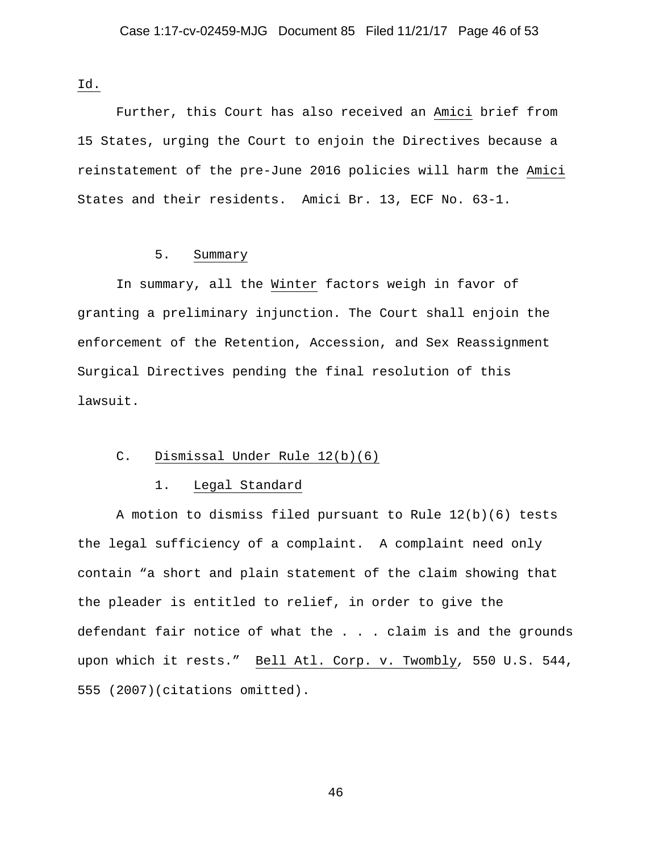Id.

Further, this Court has also received an Amici brief from 15 States, urging the Court to enjoin the Directives because a reinstatement of the pre-June 2016 policies will harm the Amici States and their residents. Amici Br. 13, ECF No. 63-1.

### 5. Summary

In summary, all the Winter factors weigh in favor of granting a preliminary injunction. The Court shall enjoin the enforcement of the Retention, Accession, and Sex Reassignment Surgical Directives pending the final resolution of this lawsuit.

#### C. Dismissal Under Rule 12(b)(6)

#### 1. Legal Standard

A motion to dismiss filed pursuant to Rule 12(b)(6) tests the legal sufficiency of a complaint. A complaint need only contain "a short and plain statement of the claim showing that the pleader is entitled to relief, in order to give the defendant fair notice of what the . . . claim is and the grounds upon which it rests." Bell Atl. Corp. v. Twombly*,* 550 U.S. 544, 555 (2007)(citations omitted).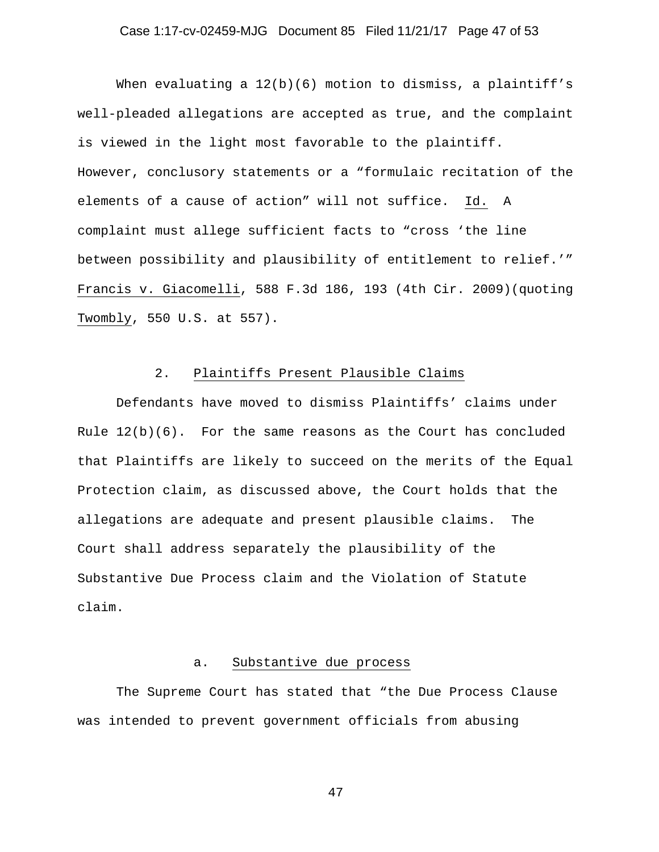#### Case 1:17-cv-02459-MJG Document 85 Filed 11/21/17 Page 47 of 53

When evaluating a 12(b)(6) motion to dismiss, a plaintiff's well-pleaded allegations are accepted as true, and the complaint is viewed in the light most favorable to the plaintiff. However, conclusory statements or a "formulaic recitation of the elements of a cause of action" will not suffice. Id. A complaint must allege sufficient facts to "cross 'the line between possibility and plausibility of entitlement to relief.'" Francis v. Giacomelli, 588 F.3d 186, 193 (4th Cir. 2009)(quoting Twombly, 550 U.S. at 557).

# 2. Plaintiffs Present Plausible Claims

Defendants have moved to dismiss Plaintiffs' claims under Rule  $12(b)(6)$ . For the same reasons as the Court has concluded that Plaintiffs are likely to succeed on the merits of the Equal Protection claim, as discussed above, the Court holds that the allegations are adequate and present plausible claims. The Court shall address separately the plausibility of the Substantive Due Process claim and the Violation of Statute claim.

## a. Substantive due process

The Supreme Court has stated that "the Due Process Clause was intended to prevent government officials from abusing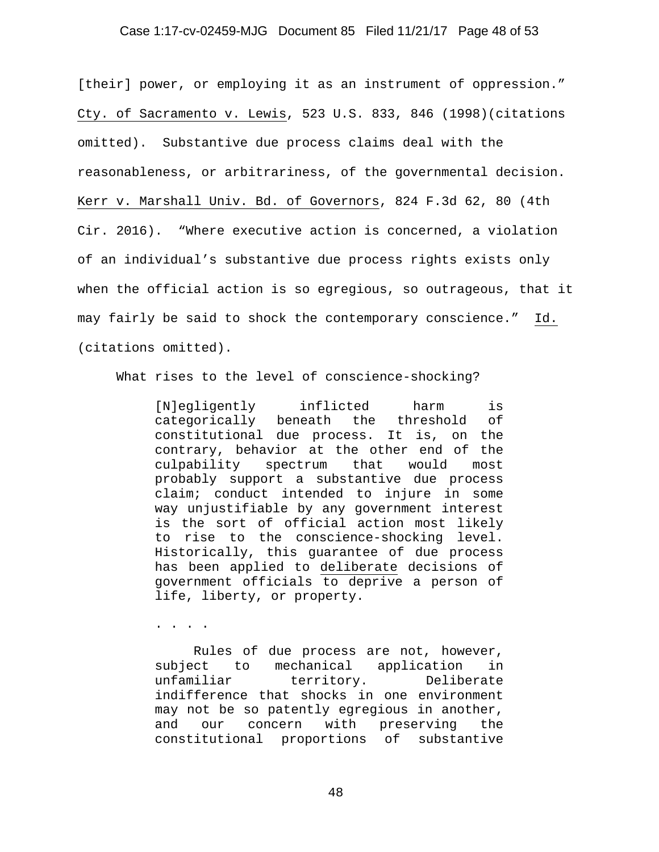#### Case 1:17-cv-02459-MJG Document 85 Filed 11/21/17 Page 48 of 53

[their] power, or employing it as an instrument of oppression." Cty. of Sacramento v. Lewis, 523 U.S. 833, 846 (1998)(citations omitted). Substantive due process claims deal with the reasonableness, or arbitrariness, of the governmental decision. Kerr v. Marshall Univ. Bd. of Governors, 824 F.3d 62, 80 (4th Cir. 2016). "Where executive action is concerned, a violation of an individual's substantive due process rights exists only when the official action is so egregious, so outrageous, that it may fairly be said to shock the contemporary conscience." Id. (citations omitted).

What rises to the level of conscience-shocking?

[N]egligently inflicted harm is categorically beneath the threshold of constitutional due process. It is, on the contrary, behavior at the other end of the culpability spectrum that would most probably support a substantive due process claim; conduct intended to injure in some way unjustifiable by any government interest is the sort of official action most likely to rise to the conscience-shocking level. Historically, this guarantee of due process has been applied to deliberate decisions of government officials to deprive a person of life, liberty, or property.

. . . .

 Rules of due process are not, however, subject to mechanical application in unfamiliar territory. Deliberate indifference that shocks in one environment may not be so patently egregious in another, and our concern with preserving the constitutional proportions of substantive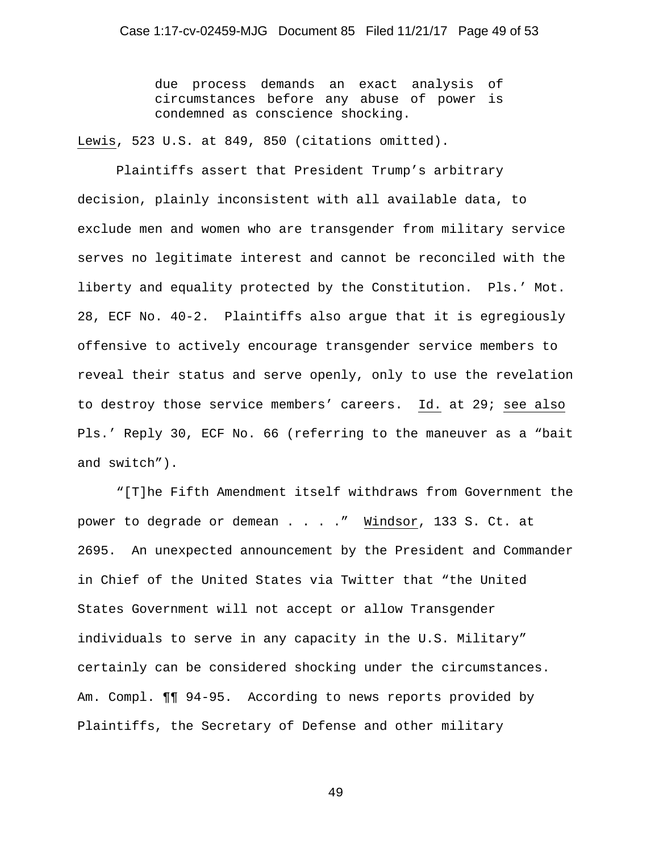due process demands an exact analysis of circumstances before any abuse of power is condemned as conscience shocking.

Lewis, 523 U.S. at 849, 850 (citations omitted).

Plaintiffs assert that President Trump's arbitrary decision, plainly inconsistent with all available data, to exclude men and women who are transgender from military service serves no legitimate interest and cannot be reconciled with the liberty and equality protected by the Constitution. Pls.' Mot. 28, ECF No. 40-2. Plaintiffs also argue that it is egregiously offensive to actively encourage transgender service members to reveal their status and serve openly, only to use the revelation to destroy those service members' careers. Id. at 29; see also Pls.' Reply 30, ECF No. 66 (referring to the maneuver as a "bait and switch").

"[T]he Fifth Amendment itself withdraws from Government the power to degrade or demean . . . . " Windsor, 133 S. Ct. at 2695. An unexpected announcement by the President and Commander in Chief of the United States via Twitter that "the United States Government will not accept or allow Transgender individuals to serve in any capacity in the U.S. Military" certainly can be considered shocking under the circumstances. Am. Compl. ¶¶ 94-95. According to news reports provided by Plaintiffs, the Secretary of Defense and other military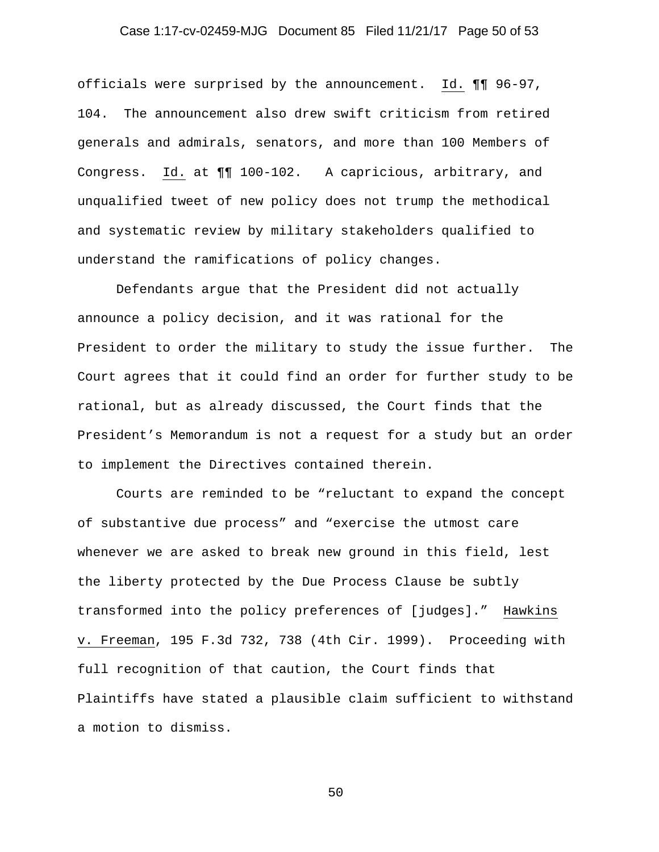# Case 1:17-cv-02459-MJG Document 85 Filed 11/21/17 Page 50 of 53

officials were surprised by the announcement. Id. ¶¶ 96-97, 104. The announcement also drew swift criticism from retired generals and admirals, senators, and more than 100 Members of Congress. Id. at ¶¶ 100-102. A capricious, arbitrary, and unqualified tweet of new policy does not trump the methodical and systematic review by military stakeholders qualified to understand the ramifications of policy changes.

Defendants argue that the President did not actually announce a policy decision, and it was rational for the President to order the military to study the issue further. The Court agrees that it could find an order for further study to be rational, but as already discussed, the Court finds that the President's Memorandum is not a request for a study but an order to implement the Directives contained therein.

Courts are reminded to be "reluctant to expand the concept of substantive due process" and "exercise the utmost care whenever we are asked to break new ground in this field, lest the liberty protected by the Due Process Clause be subtly transformed into the policy preferences of [judges]." Hawkins v. Freeman, 195 F.3d 732, 738 (4th Cir. 1999). Proceeding with full recognition of that caution, the Court finds that Plaintiffs have stated a plausible claim sufficient to withstand a motion to dismiss.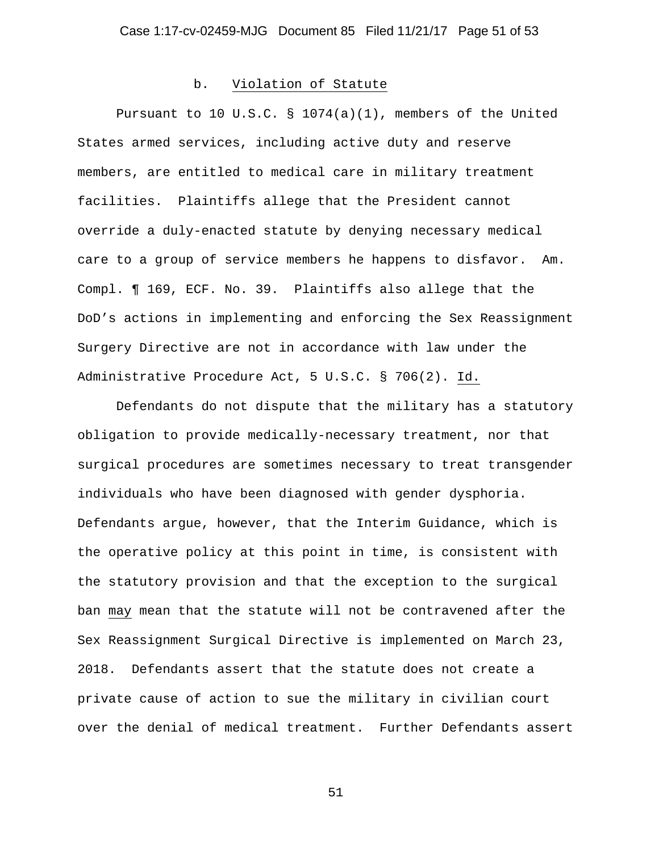#### b. Violation of Statute

Pursuant to 10 U.S.C. § 1074(a)(1), members of the United States armed services, including active duty and reserve members, are entitled to medical care in military treatment facilities. Plaintiffs allege that the President cannot override a duly-enacted statute by denying necessary medical care to a group of service members he happens to disfavor. Am. Compl. ¶ 169, ECF. No. 39. Plaintiffs also allege that the DoD's actions in implementing and enforcing the Sex Reassignment Surgery Directive are not in accordance with law under the Administrative Procedure Act, 5 U.S.C. § 706(2). Id.

Defendants do not dispute that the military has a statutory obligation to provide medically-necessary treatment, nor that surgical procedures are sometimes necessary to treat transgender individuals who have been diagnosed with gender dysphoria. Defendants argue, however, that the Interim Guidance, which is the operative policy at this point in time, is consistent with the statutory provision and that the exception to the surgical ban may mean that the statute will not be contravened after the Sex Reassignment Surgical Directive is implemented on March 23, 2018. Defendants assert that the statute does not create a private cause of action to sue the military in civilian court over the denial of medical treatment. Further Defendants assert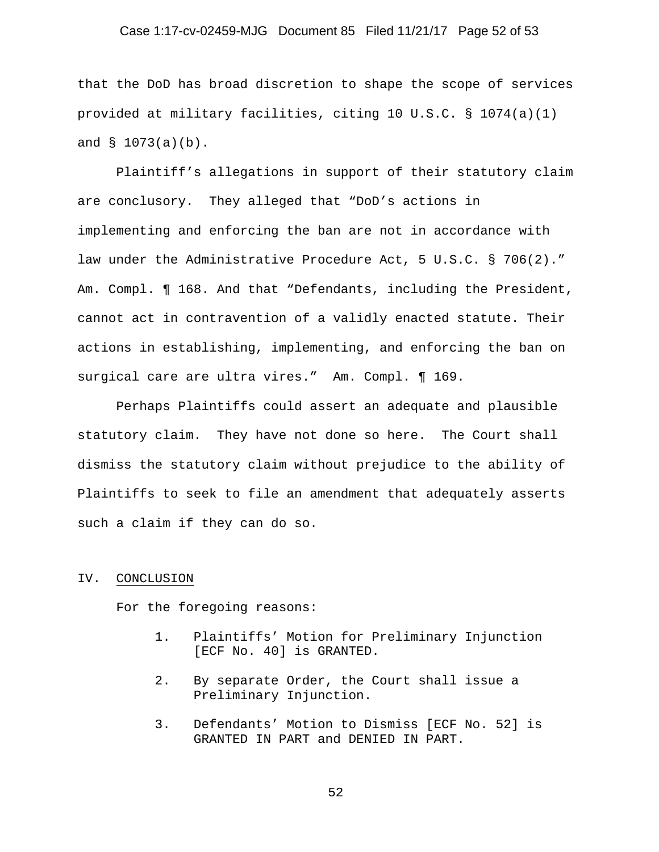#### Case 1:17-cv-02459-MJG Document 85 Filed 11/21/17 Page 52 of 53

that the DoD has broad discretion to shape the scope of services provided at military facilities, citing 10 U.S.C. § 1074(a)(1) and § 1073(a)(b).

 Plaintiff's allegations in support of their statutory claim are conclusory. They alleged that "DoD's actions in implementing and enforcing the ban are not in accordance with law under the Administrative Procedure Act, 5 U.S.C. § 706(2)." Am. Compl. ¶ 168. And that "Defendants, including the President, cannot act in contravention of a validly enacted statute. Their actions in establishing, implementing, and enforcing the ban on surgical care are ultra vires." Am. Compl. ¶ 169.

 Perhaps Plaintiffs could assert an adequate and plausible statutory claim. They have not done so here. The Court shall dismiss the statutory claim without prejudice to the ability of Plaintiffs to seek to file an amendment that adequately asserts such a claim if they can do so.

#### IV. CONCLUSION

For the foregoing reasons:

- 1. Plaintiffs' Motion for Preliminary Injunction [ECF No. 40] is GRANTED.
- 2. By separate Order, the Court shall issue a Preliminary Injunction.
- 3. Defendants' Motion to Dismiss [ECF No. 52] is GRANTED IN PART and DENIED IN PART.